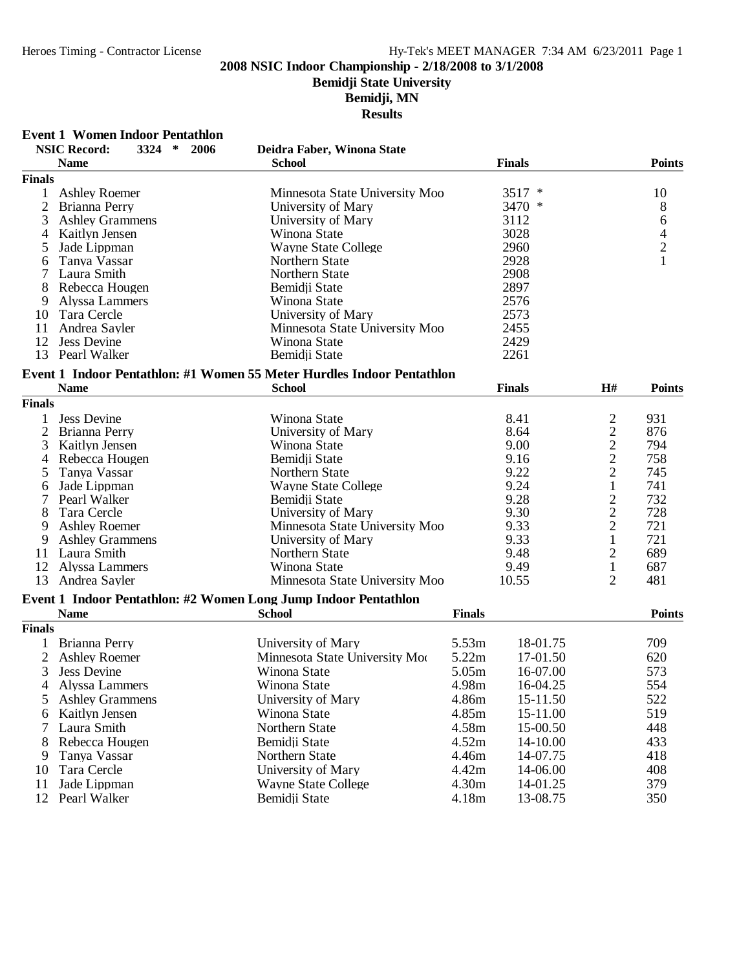# **Bemidji State University**

**Bemidji, MN**

|                | <b>Event 1 Women Indoor Pentathlon</b>   |                                                                        |                   |                |               |
|----------------|------------------------------------------|------------------------------------------------------------------------|-------------------|----------------|---------------|
|                | <b>NSIC Record:</b><br>3324<br>∗<br>2006 | Deidra Faber, Winona State                                             |                   |                |               |
|                | <b>Name</b>                              | <b>School</b>                                                          | <b>Finals</b>     |                | <b>Points</b> |
| <b>Finals</b>  |                                          |                                                                        |                   |                |               |
| 1              | <b>Ashley Roemer</b>                     | Minnesota State University Moo                                         | $\ast$<br>3517    |                | 10            |
| $\overline{2}$ | Brianna Perry                            | University of Mary                                                     | 3470 *            |                | 8             |
| 3              | <b>Ashley Grammens</b>                   | University of Mary                                                     | 3112              |                | 6             |
| 4              | Kaitlyn Jensen                           | Winona State                                                           | 3028              |                |               |
| 5              | Jade Lippman                             | <b>Wayne State College</b>                                             | 2960              |                | $\frac{4}{2}$ |
| 6              | Tanya Vassar                             | Northern State                                                         | 2928              |                | $\mathbf{1}$  |
|                | Laura Smith                              | Northern State                                                         | 2908              |                |               |
| 8              | Rebecca Hougen                           | Bemidji State                                                          | 2897              |                |               |
| 9              | Alyssa Lammers                           | Winona State                                                           | 2576              |                |               |
| 10             | Tara Cercle                              | University of Mary                                                     | 2573              |                |               |
| 11             | Andrea Sayler                            | Minnesota State University Moo                                         | 2455              |                |               |
| 12             | <b>Jess Devine</b>                       | Winona State                                                           | 2429              |                |               |
| 13             | Pearl Walker                             | Bemidji State                                                          | 2261              |                |               |
|                |                                          | Event 1 Indoor Pentathlon: #1 Women 55 Meter Hurdles Indoor Pentathlon |                   |                |               |
|                | <b>Name</b>                              | <b>School</b>                                                          | <b>Finals</b>     | H#             | <b>Points</b> |
| <b>Finals</b>  |                                          |                                                                        |                   |                |               |
|                |                                          |                                                                        |                   |                |               |
| 1              | <b>Jess Devine</b>                       | Winona State                                                           | 8.41              | $\overline{c}$ | 931           |
| 2              | Brianna Perry                            | University of Mary                                                     | 8.64              | $\overline{c}$ | 876           |
| 3              | Kaitlyn Jensen                           | Winona State                                                           | 9.00              | $\frac{2}{2}$  | 794           |
| 4              | Rebecca Hougen                           | Bemidji State                                                          | 9.16              |                | 758           |
| 5              | Tanya Vassar                             | Northern State                                                         | 9.22              | $\overline{c}$ | 745           |
| 6              | Jade Lippman                             | <b>Wayne State College</b>                                             | 9.24              | $\,1$          | 741           |
| 7              | Pearl Walker                             | Bemidji State                                                          | 9.28              | $\frac{2}{2}$  | 732           |
| 8              | Tara Cercle                              | University of Mary                                                     | 9.30              |                | 728           |
| 9              | <b>Ashley Roemer</b>                     | Minnesota State University Moo                                         | 9.33              | $\overline{c}$ | 721           |
| 9              | <b>Ashley Grammens</b>                   | University of Mary                                                     | 9.33              | $\mathbf{1}$   | 721           |
| 11             | Laura Smith                              | Northern State                                                         | 9.48              | 2              | 689           |
| 12             | Alyssa Lammers                           | Winona State                                                           | 9.49              | $\mathbf{1}$   | 687           |
| 13             | Andrea Sayler                            | Minnesota State University Moo                                         | 10.55             | $\overline{2}$ | 481           |
|                |                                          | Event 1 Indoor Pentathlon: #2 Women Long Jump Indoor Pentathlon        |                   |                |               |
|                | <b>Name</b>                              | <b>School</b>                                                          | <b>Finals</b>     |                | <b>Points</b> |
| <b>Finals</b>  |                                          |                                                                        |                   |                |               |
|                | Brianna Perry                            | University of Mary                                                     | 5.53m<br>18-01.75 |                | 709           |
| $\overline{2}$ | <b>Ashley Roemer</b>                     | Minnesota State University Moo                                         | 5.22m<br>17-01.50 |                | 620           |
| 3              | Jess Devine                              | Winona State                                                           | 5.05m<br>16-07.00 |                | 573           |
| 4              | Alyssa Lammers                           | Winona State                                                           | 4.98m<br>16-04.25 |                | 554           |
|                |                                          |                                                                        |                   |                |               |
| 5              | <b>Ashley Grammens</b>                   | University of Mary                                                     | 4.86m<br>15-11.50 |                | 522           |
| 6              | Kaitlyn Jensen                           | Winona State                                                           | 4.85m<br>15-11.00 |                | 519           |
| 7              | Laura Smith                              | Northern State                                                         | 4.58m<br>15-00.50 |                | 448           |
| 8              | Rebecca Hougen                           | Bemidji State                                                          | 4.52m<br>14-10.00 |                | 433           |
| 9              | Tanya Vassar                             | Northern State                                                         | 4.46m<br>14-07.75 |                | 418           |
| 10             | Tara Cercle                              | University of Mary                                                     | 4.42m<br>14-06.00 |                | 408           |
| 11             | Jade Lippman                             | <b>Wayne State College</b>                                             | 4.30m<br>14-01.25 |                | 379           |
| 12             | Pearl Walker                             | Bemidji State                                                          | 4.18m<br>13-08.75 |                | 350           |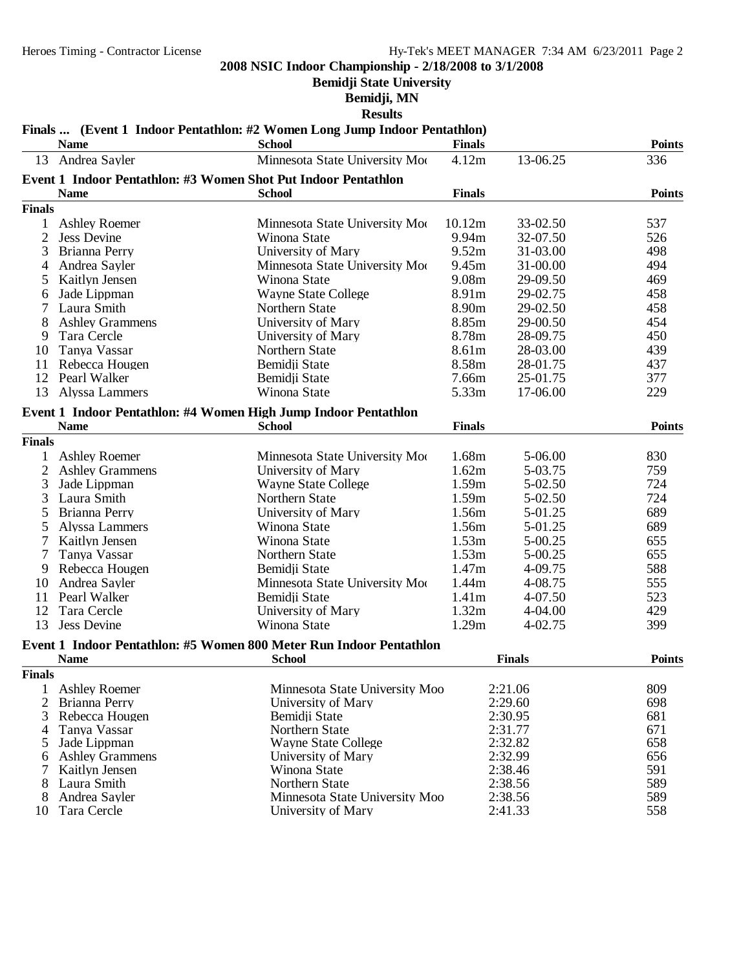**Bemidji State University**

#### **Bemidji, MN**

**Results**

# **Finals ... (Event 1 Indoor Pentathlon: #2 Women Long Jump Indoor Pentathlon)**

| 4.12m<br>Andrea Sayler<br>Minnesota State University Moo<br>336<br>13-06.25<br>13<br>Event 1 Indoor Pentathlon: #3 Women Shot Put Indoor Pentathlon<br><b>Name</b><br><b>Finals</b><br><b>Points</b><br><b>School</b><br><b>Finals</b><br>537<br><b>Ashley Roemer</b><br>Minnesota State University Moo<br>10.12m<br>33-02.50<br>1<br>$\overline{2}$<br>9.94m<br>526<br>32-07.50<br><b>Jess Devine</b><br>Winona State<br>3<br>University of Mary<br>9.52m<br>498<br>Brianna Perry<br>31-03.00<br>494<br>Minnesota State University Moo<br>9.45m<br>31-00.00<br>Andrea Sayler<br>4<br>9.08m<br>29-09.50<br>469<br>5<br>Kaitlyn Jensen<br>Winona State<br>Jade Lippman<br><b>Wayne State College</b><br>8.91m<br>29-02.75<br>458<br>6<br>Laura Smith<br>8.90m<br>29-02.50<br>458<br>Northern State<br>8<br><b>Ashley Grammens</b><br>8.85m<br>29-00.50<br>454<br>University of Mary<br>450<br>Tara Cercle<br>8.78m<br>28-09.75<br>9<br>University of Mary<br>439<br>Tanya Vassar<br>Northern State<br>8.61m<br>28-03.00<br>10<br>8.58m<br>11<br>Rebecca Hougen<br>Bemidji State<br>28-01.75<br>437<br>377<br>12<br>Pearl Walker<br>7.66m<br>25-01.75<br>Bemidji State<br>5.33m<br>13<br>Winona State<br>17-06.00<br>229<br>Alyssa Lammers<br>Event 1 Indoor Pentathlon: #4 Women High Jump Indoor Pentathlon<br><b>Name</b><br><b>School</b><br><b>Finals</b><br><b>Points</b><br><b>Finals</b><br>1.68m<br>830<br><b>Ashley Roemer</b><br>Minnesota State University Moo<br>5-06.00<br>1<br>$\overline{2}$<br>1.62m<br>5-03.75<br>759<br><b>Ashley Grammens</b><br>University of Mary<br>3<br>1.59m<br>724<br>Jade Lippman<br><b>Wayne State College</b><br>5-02.50<br>724<br>3<br>Laura Smith<br>Northern State<br>1.59m<br>5-02.50<br>689<br>Brianna Perry<br>University of Mary<br>1.56m<br>5-01.25<br>5<br>689<br>Winona State<br>1.56m<br>5-01.25<br>5<br>Alyssa Lammers<br>1.53m<br>655<br>7<br>Kaitlyn Jensen<br>Winona State<br>5-00.25<br>1.53m<br>Tanya Vassar<br>655<br>7<br>Northern State<br>5-00.25<br>588<br>Bemidji State<br>1.47m<br>4-09.75<br>9<br>Rebecca Hougen<br>555<br>Andrea Sayler<br>Minnesota State University Moo<br>1.44m<br>4-08.75<br>10<br>523<br>Pearl Walker<br>Bemidji State<br>1.41m<br>4-07.50<br>11<br>1.32m<br>429<br>12<br>Tara Cercle<br>University of Mary<br>4-04.00<br>13<br>1.29m<br><b>Jess Devine</b><br>Winona State<br>4-02.75<br>399<br>Event 1 Indoor Pentathlon: #5 Women 800 Meter Run Indoor Pentathlon<br><b>Name</b><br><b>School</b><br><b>Finals</b><br><b>Points</b><br><b>Finals</b><br>1 Ashley Roemer<br>Minnesota State University Moo<br>809<br>2:21.06<br>2<br>2:29.60<br>698<br>Brianna Perry<br>University of Mary<br>3<br>2:30.95<br>681<br>Rebecca Hougen<br>Bemidji State<br>2:31.77<br>671<br>Tanya Vassar<br>Northern State<br>4<br>658<br>Jade Lippman<br><b>Wayne State College</b><br>2:32.82<br>5<br>University of Mary<br>2:32.99<br>656<br><b>Ashley Grammens</b><br>6<br>591<br>Kaitlyn Jensen<br>Winona State<br>2:38.46<br>7<br>2:38.56<br>589<br>8<br>Laura Smith<br>Northern State<br>589<br>Andrea Sayler<br>Minnesota State University Moo<br>2:38.56<br>8<br>2:41.33<br>558<br>Tara Cercle<br>University of Mary<br>10 | <b>Name</b> | <b>School</b> | <b>Finals</b> | <b>Points</b> |
|---------------------------------------------------------------------------------------------------------------------------------------------------------------------------------------------------------------------------------------------------------------------------------------------------------------------------------------------------------------------------------------------------------------------------------------------------------------------------------------------------------------------------------------------------------------------------------------------------------------------------------------------------------------------------------------------------------------------------------------------------------------------------------------------------------------------------------------------------------------------------------------------------------------------------------------------------------------------------------------------------------------------------------------------------------------------------------------------------------------------------------------------------------------------------------------------------------------------------------------------------------------------------------------------------------------------------------------------------------------------------------------------------------------------------------------------------------------------------------------------------------------------------------------------------------------------------------------------------------------------------------------------------------------------------------------------------------------------------------------------------------------------------------------------------------------------------------------------------------------------------------------------------------------------------------------------------------------------------------------------------------------------------------------------------------------------------------------------------------------------------------------------------------------------------------------------------------------------------------------------------------------------------------------------------------------------------------------------------------------------------------------------------------------------------------------------------------------------------------------------------------------------------------------------------------------------------------------------------------------------------------------------------------------------------------------------------------------------------------------------------------------------------------------------------------------------------------------------------------------------------------------------------------------------------------------------------------------------------------------------------------------------------------------------------------------------------------------------------------------------------------------------------------------------------------------------------------------|-------------|---------------|---------------|---------------|
|                                                                                                                                                                                                                                                                                                                                                                                                                                                                                                                                                                                                                                                                                                                                                                                                                                                                                                                                                                                                                                                                                                                                                                                                                                                                                                                                                                                                                                                                                                                                                                                                                                                                                                                                                                                                                                                                                                                                                                                                                                                                                                                                                                                                                                                                                                                                                                                                                                                                                                                                                                                                                                                                                                                                                                                                                                                                                                                                                                                                                                                                                                                                                                                                               |             |               |               |               |
|                                                                                                                                                                                                                                                                                                                                                                                                                                                                                                                                                                                                                                                                                                                                                                                                                                                                                                                                                                                                                                                                                                                                                                                                                                                                                                                                                                                                                                                                                                                                                                                                                                                                                                                                                                                                                                                                                                                                                                                                                                                                                                                                                                                                                                                                                                                                                                                                                                                                                                                                                                                                                                                                                                                                                                                                                                                                                                                                                                                                                                                                                                                                                                                                               |             |               |               |               |
|                                                                                                                                                                                                                                                                                                                                                                                                                                                                                                                                                                                                                                                                                                                                                                                                                                                                                                                                                                                                                                                                                                                                                                                                                                                                                                                                                                                                                                                                                                                                                                                                                                                                                                                                                                                                                                                                                                                                                                                                                                                                                                                                                                                                                                                                                                                                                                                                                                                                                                                                                                                                                                                                                                                                                                                                                                                                                                                                                                                                                                                                                                                                                                                                               |             |               |               |               |
|                                                                                                                                                                                                                                                                                                                                                                                                                                                                                                                                                                                                                                                                                                                                                                                                                                                                                                                                                                                                                                                                                                                                                                                                                                                                                                                                                                                                                                                                                                                                                                                                                                                                                                                                                                                                                                                                                                                                                                                                                                                                                                                                                                                                                                                                                                                                                                                                                                                                                                                                                                                                                                                                                                                                                                                                                                                                                                                                                                                                                                                                                                                                                                                                               |             |               |               |               |
|                                                                                                                                                                                                                                                                                                                                                                                                                                                                                                                                                                                                                                                                                                                                                                                                                                                                                                                                                                                                                                                                                                                                                                                                                                                                                                                                                                                                                                                                                                                                                                                                                                                                                                                                                                                                                                                                                                                                                                                                                                                                                                                                                                                                                                                                                                                                                                                                                                                                                                                                                                                                                                                                                                                                                                                                                                                                                                                                                                                                                                                                                                                                                                                                               |             |               |               |               |
|                                                                                                                                                                                                                                                                                                                                                                                                                                                                                                                                                                                                                                                                                                                                                                                                                                                                                                                                                                                                                                                                                                                                                                                                                                                                                                                                                                                                                                                                                                                                                                                                                                                                                                                                                                                                                                                                                                                                                                                                                                                                                                                                                                                                                                                                                                                                                                                                                                                                                                                                                                                                                                                                                                                                                                                                                                                                                                                                                                                                                                                                                                                                                                                                               |             |               |               |               |
|                                                                                                                                                                                                                                                                                                                                                                                                                                                                                                                                                                                                                                                                                                                                                                                                                                                                                                                                                                                                                                                                                                                                                                                                                                                                                                                                                                                                                                                                                                                                                                                                                                                                                                                                                                                                                                                                                                                                                                                                                                                                                                                                                                                                                                                                                                                                                                                                                                                                                                                                                                                                                                                                                                                                                                                                                                                                                                                                                                                                                                                                                                                                                                                                               |             |               |               |               |
|                                                                                                                                                                                                                                                                                                                                                                                                                                                                                                                                                                                                                                                                                                                                                                                                                                                                                                                                                                                                                                                                                                                                                                                                                                                                                                                                                                                                                                                                                                                                                                                                                                                                                                                                                                                                                                                                                                                                                                                                                                                                                                                                                                                                                                                                                                                                                                                                                                                                                                                                                                                                                                                                                                                                                                                                                                                                                                                                                                                                                                                                                                                                                                                                               |             |               |               |               |
|                                                                                                                                                                                                                                                                                                                                                                                                                                                                                                                                                                                                                                                                                                                                                                                                                                                                                                                                                                                                                                                                                                                                                                                                                                                                                                                                                                                                                                                                                                                                                                                                                                                                                                                                                                                                                                                                                                                                                                                                                                                                                                                                                                                                                                                                                                                                                                                                                                                                                                                                                                                                                                                                                                                                                                                                                                                                                                                                                                                                                                                                                                                                                                                                               |             |               |               |               |
|                                                                                                                                                                                                                                                                                                                                                                                                                                                                                                                                                                                                                                                                                                                                                                                                                                                                                                                                                                                                                                                                                                                                                                                                                                                                                                                                                                                                                                                                                                                                                                                                                                                                                                                                                                                                                                                                                                                                                                                                                                                                                                                                                                                                                                                                                                                                                                                                                                                                                                                                                                                                                                                                                                                                                                                                                                                                                                                                                                                                                                                                                                                                                                                                               |             |               |               |               |
|                                                                                                                                                                                                                                                                                                                                                                                                                                                                                                                                                                                                                                                                                                                                                                                                                                                                                                                                                                                                                                                                                                                                                                                                                                                                                                                                                                                                                                                                                                                                                                                                                                                                                                                                                                                                                                                                                                                                                                                                                                                                                                                                                                                                                                                                                                                                                                                                                                                                                                                                                                                                                                                                                                                                                                                                                                                                                                                                                                                                                                                                                                                                                                                                               |             |               |               |               |
|                                                                                                                                                                                                                                                                                                                                                                                                                                                                                                                                                                                                                                                                                                                                                                                                                                                                                                                                                                                                                                                                                                                                                                                                                                                                                                                                                                                                                                                                                                                                                                                                                                                                                                                                                                                                                                                                                                                                                                                                                                                                                                                                                                                                                                                                                                                                                                                                                                                                                                                                                                                                                                                                                                                                                                                                                                                                                                                                                                                                                                                                                                                                                                                                               |             |               |               |               |
|                                                                                                                                                                                                                                                                                                                                                                                                                                                                                                                                                                                                                                                                                                                                                                                                                                                                                                                                                                                                                                                                                                                                                                                                                                                                                                                                                                                                                                                                                                                                                                                                                                                                                                                                                                                                                                                                                                                                                                                                                                                                                                                                                                                                                                                                                                                                                                                                                                                                                                                                                                                                                                                                                                                                                                                                                                                                                                                                                                                                                                                                                                                                                                                                               |             |               |               |               |
|                                                                                                                                                                                                                                                                                                                                                                                                                                                                                                                                                                                                                                                                                                                                                                                                                                                                                                                                                                                                                                                                                                                                                                                                                                                                                                                                                                                                                                                                                                                                                                                                                                                                                                                                                                                                                                                                                                                                                                                                                                                                                                                                                                                                                                                                                                                                                                                                                                                                                                                                                                                                                                                                                                                                                                                                                                                                                                                                                                                                                                                                                                                                                                                                               |             |               |               |               |
|                                                                                                                                                                                                                                                                                                                                                                                                                                                                                                                                                                                                                                                                                                                                                                                                                                                                                                                                                                                                                                                                                                                                                                                                                                                                                                                                                                                                                                                                                                                                                                                                                                                                                                                                                                                                                                                                                                                                                                                                                                                                                                                                                                                                                                                                                                                                                                                                                                                                                                                                                                                                                                                                                                                                                                                                                                                                                                                                                                                                                                                                                                                                                                                                               |             |               |               |               |
|                                                                                                                                                                                                                                                                                                                                                                                                                                                                                                                                                                                                                                                                                                                                                                                                                                                                                                                                                                                                                                                                                                                                                                                                                                                                                                                                                                                                                                                                                                                                                                                                                                                                                                                                                                                                                                                                                                                                                                                                                                                                                                                                                                                                                                                                                                                                                                                                                                                                                                                                                                                                                                                                                                                                                                                                                                                                                                                                                                                                                                                                                                                                                                                                               |             |               |               |               |
|                                                                                                                                                                                                                                                                                                                                                                                                                                                                                                                                                                                                                                                                                                                                                                                                                                                                                                                                                                                                                                                                                                                                                                                                                                                                                                                                                                                                                                                                                                                                                                                                                                                                                                                                                                                                                                                                                                                                                                                                                                                                                                                                                                                                                                                                                                                                                                                                                                                                                                                                                                                                                                                                                                                                                                                                                                                                                                                                                                                                                                                                                                                                                                                                               |             |               |               |               |
|                                                                                                                                                                                                                                                                                                                                                                                                                                                                                                                                                                                                                                                                                                                                                                                                                                                                                                                                                                                                                                                                                                                                                                                                                                                                                                                                                                                                                                                                                                                                                                                                                                                                                                                                                                                                                                                                                                                                                                                                                                                                                                                                                                                                                                                                                                                                                                                                                                                                                                                                                                                                                                                                                                                                                                                                                                                                                                                                                                                                                                                                                                                                                                                                               |             |               |               |               |
|                                                                                                                                                                                                                                                                                                                                                                                                                                                                                                                                                                                                                                                                                                                                                                                                                                                                                                                                                                                                                                                                                                                                                                                                                                                                                                                                                                                                                                                                                                                                                                                                                                                                                                                                                                                                                                                                                                                                                                                                                                                                                                                                                                                                                                                                                                                                                                                                                                                                                                                                                                                                                                                                                                                                                                                                                                                                                                                                                                                                                                                                                                                                                                                                               |             |               |               |               |
|                                                                                                                                                                                                                                                                                                                                                                                                                                                                                                                                                                                                                                                                                                                                                                                                                                                                                                                                                                                                                                                                                                                                                                                                                                                                                                                                                                                                                                                                                                                                                                                                                                                                                                                                                                                                                                                                                                                                                                                                                                                                                                                                                                                                                                                                                                                                                                                                                                                                                                                                                                                                                                                                                                                                                                                                                                                                                                                                                                                                                                                                                                                                                                                                               |             |               |               |               |
|                                                                                                                                                                                                                                                                                                                                                                                                                                                                                                                                                                                                                                                                                                                                                                                                                                                                                                                                                                                                                                                                                                                                                                                                                                                                                                                                                                                                                                                                                                                                                                                                                                                                                                                                                                                                                                                                                                                                                                                                                                                                                                                                                                                                                                                                                                                                                                                                                                                                                                                                                                                                                                                                                                                                                                                                                                                                                                                                                                                                                                                                                                                                                                                                               |             |               |               |               |
|                                                                                                                                                                                                                                                                                                                                                                                                                                                                                                                                                                                                                                                                                                                                                                                                                                                                                                                                                                                                                                                                                                                                                                                                                                                                                                                                                                                                                                                                                                                                                                                                                                                                                                                                                                                                                                                                                                                                                                                                                                                                                                                                                                                                                                                                                                                                                                                                                                                                                                                                                                                                                                                                                                                                                                                                                                                                                                                                                                                                                                                                                                                                                                                                               |             |               |               |               |
|                                                                                                                                                                                                                                                                                                                                                                                                                                                                                                                                                                                                                                                                                                                                                                                                                                                                                                                                                                                                                                                                                                                                                                                                                                                                                                                                                                                                                                                                                                                                                                                                                                                                                                                                                                                                                                                                                                                                                                                                                                                                                                                                                                                                                                                                                                                                                                                                                                                                                                                                                                                                                                                                                                                                                                                                                                                                                                                                                                                                                                                                                                                                                                                                               |             |               |               |               |
|                                                                                                                                                                                                                                                                                                                                                                                                                                                                                                                                                                                                                                                                                                                                                                                                                                                                                                                                                                                                                                                                                                                                                                                                                                                                                                                                                                                                                                                                                                                                                                                                                                                                                                                                                                                                                                                                                                                                                                                                                                                                                                                                                                                                                                                                                                                                                                                                                                                                                                                                                                                                                                                                                                                                                                                                                                                                                                                                                                                                                                                                                                                                                                                                               |             |               |               |               |
|                                                                                                                                                                                                                                                                                                                                                                                                                                                                                                                                                                                                                                                                                                                                                                                                                                                                                                                                                                                                                                                                                                                                                                                                                                                                                                                                                                                                                                                                                                                                                                                                                                                                                                                                                                                                                                                                                                                                                                                                                                                                                                                                                                                                                                                                                                                                                                                                                                                                                                                                                                                                                                                                                                                                                                                                                                                                                                                                                                                                                                                                                                                                                                                                               |             |               |               |               |
|                                                                                                                                                                                                                                                                                                                                                                                                                                                                                                                                                                                                                                                                                                                                                                                                                                                                                                                                                                                                                                                                                                                                                                                                                                                                                                                                                                                                                                                                                                                                                                                                                                                                                                                                                                                                                                                                                                                                                                                                                                                                                                                                                                                                                                                                                                                                                                                                                                                                                                                                                                                                                                                                                                                                                                                                                                                                                                                                                                                                                                                                                                                                                                                                               |             |               |               |               |
|                                                                                                                                                                                                                                                                                                                                                                                                                                                                                                                                                                                                                                                                                                                                                                                                                                                                                                                                                                                                                                                                                                                                                                                                                                                                                                                                                                                                                                                                                                                                                                                                                                                                                                                                                                                                                                                                                                                                                                                                                                                                                                                                                                                                                                                                                                                                                                                                                                                                                                                                                                                                                                                                                                                                                                                                                                                                                                                                                                                                                                                                                                                                                                                                               |             |               |               |               |
|                                                                                                                                                                                                                                                                                                                                                                                                                                                                                                                                                                                                                                                                                                                                                                                                                                                                                                                                                                                                                                                                                                                                                                                                                                                                                                                                                                                                                                                                                                                                                                                                                                                                                                                                                                                                                                                                                                                                                                                                                                                                                                                                                                                                                                                                                                                                                                                                                                                                                                                                                                                                                                                                                                                                                                                                                                                                                                                                                                                                                                                                                                                                                                                                               |             |               |               |               |
|                                                                                                                                                                                                                                                                                                                                                                                                                                                                                                                                                                                                                                                                                                                                                                                                                                                                                                                                                                                                                                                                                                                                                                                                                                                                                                                                                                                                                                                                                                                                                                                                                                                                                                                                                                                                                                                                                                                                                                                                                                                                                                                                                                                                                                                                                                                                                                                                                                                                                                                                                                                                                                                                                                                                                                                                                                                                                                                                                                                                                                                                                                                                                                                                               |             |               |               |               |
|                                                                                                                                                                                                                                                                                                                                                                                                                                                                                                                                                                                                                                                                                                                                                                                                                                                                                                                                                                                                                                                                                                                                                                                                                                                                                                                                                                                                                                                                                                                                                                                                                                                                                                                                                                                                                                                                                                                                                                                                                                                                                                                                                                                                                                                                                                                                                                                                                                                                                                                                                                                                                                                                                                                                                                                                                                                                                                                                                                                                                                                                                                                                                                                                               |             |               |               |               |
|                                                                                                                                                                                                                                                                                                                                                                                                                                                                                                                                                                                                                                                                                                                                                                                                                                                                                                                                                                                                                                                                                                                                                                                                                                                                                                                                                                                                                                                                                                                                                                                                                                                                                                                                                                                                                                                                                                                                                                                                                                                                                                                                                                                                                                                                                                                                                                                                                                                                                                                                                                                                                                                                                                                                                                                                                                                                                                                                                                                                                                                                                                                                                                                                               |             |               |               |               |
|                                                                                                                                                                                                                                                                                                                                                                                                                                                                                                                                                                                                                                                                                                                                                                                                                                                                                                                                                                                                                                                                                                                                                                                                                                                                                                                                                                                                                                                                                                                                                                                                                                                                                                                                                                                                                                                                                                                                                                                                                                                                                                                                                                                                                                                                                                                                                                                                                                                                                                                                                                                                                                                                                                                                                                                                                                                                                                                                                                                                                                                                                                                                                                                                               |             |               |               |               |
|                                                                                                                                                                                                                                                                                                                                                                                                                                                                                                                                                                                                                                                                                                                                                                                                                                                                                                                                                                                                                                                                                                                                                                                                                                                                                                                                                                                                                                                                                                                                                                                                                                                                                                                                                                                                                                                                                                                                                                                                                                                                                                                                                                                                                                                                                                                                                                                                                                                                                                                                                                                                                                                                                                                                                                                                                                                                                                                                                                                                                                                                                                                                                                                                               |             |               |               |               |
|                                                                                                                                                                                                                                                                                                                                                                                                                                                                                                                                                                                                                                                                                                                                                                                                                                                                                                                                                                                                                                                                                                                                                                                                                                                                                                                                                                                                                                                                                                                                                                                                                                                                                                                                                                                                                                                                                                                                                                                                                                                                                                                                                                                                                                                                                                                                                                                                                                                                                                                                                                                                                                                                                                                                                                                                                                                                                                                                                                                                                                                                                                                                                                                                               |             |               |               |               |
|                                                                                                                                                                                                                                                                                                                                                                                                                                                                                                                                                                                                                                                                                                                                                                                                                                                                                                                                                                                                                                                                                                                                                                                                                                                                                                                                                                                                                                                                                                                                                                                                                                                                                                                                                                                                                                                                                                                                                                                                                                                                                                                                                                                                                                                                                                                                                                                                                                                                                                                                                                                                                                                                                                                                                                                                                                                                                                                                                                                                                                                                                                                                                                                                               |             |               |               |               |
|                                                                                                                                                                                                                                                                                                                                                                                                                                                                                                                                                                                                                                                                                                                                                                                                                                                                                                                                                                                                                                                                                                                                                                                                                                                                                                                                                                                                                                                                                                                                                                                                                                                                                                                                                                                                                                                                                                                                                                                                                                                                                                                                                                                                                                                                                                                                                                                                                                                                                                                                                                                                                                                                                                                                                                                                                                                                                                                                                                                                                                                                                                                                                                                                               |             |               |               |               |
|                                                                                                                                                                                                                                                                                                                                                                                                                                                                                                                                                                                                                                                                                                                                                                                                                                                                                                                                                                                                                                                                                                                                                                                                                                                                                                                                                                                                                                                                                                                                                                                                                                                                                                                                                                                                                                                                                                                                                                                                                                                                                                                                                                                                                                                                                                                                                                                                                                                                                                                                                                                                                                                                                                                                                                                                                                                                                                                                                                                                                                                                                                                                                                                                               |             |               |               |               |
|                                                                                                                                                                                                                                                                                                                                                                                                                                                                                                                                                                                                                                                                                                                                                                                                                                                                                                                                                                                                                                                                                                                                                                                                                                                                                                                                                                                                                                                                                                                                                                                                                                                                                                                                                                                                                                                                                                                                                                                                                                                                                                                                                                                                                                                                                                                                                                                                                                                                                                                                                                                                                                                                                                                                                                                                                                                                                                                                                                                                                                                                                                                                                                                                               |             |               |               |               |
|                                                                                                                                                                                                                                                                                                                                                                                                                                                                                                                                                                                                                                                                                                                                                                                                                                                                                                                                                                                                                                                                                                                                                                                                                                                                                                                                                                                                                                                                                                                                                                                                                                                                                                                                                                                                                                                                                                                                                                                                                                                                                                                                                                                                                                                                                                                                                                                                                                                                                                                                                                                                                                                                                                                                                                                                                                                                                                                                                                                                                                                                                                                                                                                                               |             |               |               |               |
|                                                                                                                                                                                                                                                                                                                                                                                                                                                                                                                                                                                                                                                                                                                                                                                                                                                                                                                                                                                                                                                                                                                                                                                                                                                                                                                                                                                                                                                                                                                                                                                                                                                                                                                                                                                                                                                                                                                                                                                                                                                                                                                                                                                                                                                                                                                                                                                                                                                                                                                                                                                                                                                                                                                                                                                                                                                                                                                                                                                                                                                                                                                                                                                                               |             |               |               |               |
|                                                                                                                                                                                                                                                                                                                                                                                                                                                                                                                                                                                                                                                                                                                                                                                                                                                                                                                                                                                                                                                                                                                                                                                                                                                                                                                                                                                                                                                                                                                                                                                                                                                                                                                                                                                                                                                                                                                                                                                                                                                                                                                                                                                                                                                                                                                                                                                                                                                                                                                                                                                                                                                                                                                                                                                                                                                                                                                                                                                                                                                                                                                                                                                                               |             |               |               |               |
|                                                                                                                                                                                                                                                                                                                                                                                                                                                                                                                                                                                                                                                                                                                                                                                                                                                                                                                                                                                                                                                                                                                                                                                                                                                                                                                                                                                                                                                                                                                                                                                                                                                                                                                                                                                                                                                                                                                                                                                                                                                                                                                                                                                                                                                                                                                                                                                                                                                                                                                                                                                                                                                                                                                                                                                                                                                                                                                                                                                                                                                                                                                                                                                                               |             |               |               |               |
|                                                                                                                                                                                                                                                                                                                                                                                                                                                                                                                                                                                                                                                                                                                                                                                                                                                                                                                                                                                                                                                                                                                                                                                                                                                                                                                                                                                                                                                                                                                                                                                                                                                                                                                                                                                                                                                                                                                                                                                                                                                                                                                                                                                                                                                                                                                                                                                                                                                                                                                                                                                                                                                                                                                                                                                                                                                                                                                                                                                                                                                                                                                                                                                                               |             |               |               |               |
|                                                                                                                                                                                                                                                                                                                                                                                                                                                                                                                                                                                                                                                                                                                                                                                                                                                                                                                                                                                                                                                                                                                                                                                                                                                                                                                                                                                                                                                                                                                                                                                                                                                                                                                                                                                                                                                                                                                                                                                                                                                                                                                                                                                                                                                                                                                                                                                                                                                                                                                                                                                                                                                                                                                                                                                                                                                                                                                                                                                                                                                                                                                                                                                                               |             |               |               |               |
|                                                                                                                                                                                                                                                                                                                                                                                                                                                                                                                                                                                                                                                                                                                                                                                                                                                                                                                                                                                                                                                                                                                                                                                                                                                                                                                                                                                                                                                                                                                                                                                                                                                                                                                                                                                                                                                                                                                                                                                                                                                                                                                                                                                                                                                                                                                                                                                                                                                                                                                                                                                                                                                                                                                                                                                                                                                                                                                                                                                                                                                                                                                                                                                                               |             |               |               |               |
|                                                                                                                                                                                                                                                                                                                                                                                                                                                                                                                                                                                                                                                                                                                                                                                                                                                                                                                                                                                                                                                                                                                                                                                                                                                                                                                                                                                                                                                                                                                                                                                                                                                                                                                                                                                                                                                                                                                                                                                                                                                                                                                                                                                                                                                                                                                                                                                                                                                                                                                                                                                                                                                                                                                                                                                                                                                                                                                                                                                                                                                                                                                                                                                                               |             |               |               |               |
|                                                                                                                                                                                                                                                                                                                                                                                                                                                                                                                                                                                                                                                                                                                                                                                                                                                                                                                                                                                                                                                                                                                                                                                                                                                                                                                                                                                                                                                                                                                                                                                                                                                                                                                                                                                                                                                                                                                                                                                                                                                                                                                                                                                                                                                                                                                                                                                                                                                                                                                                                                                                                                                                                                                                                                                                                                                                                                                                                                                                                                                                                                                                                                                                               |             |               |               |               |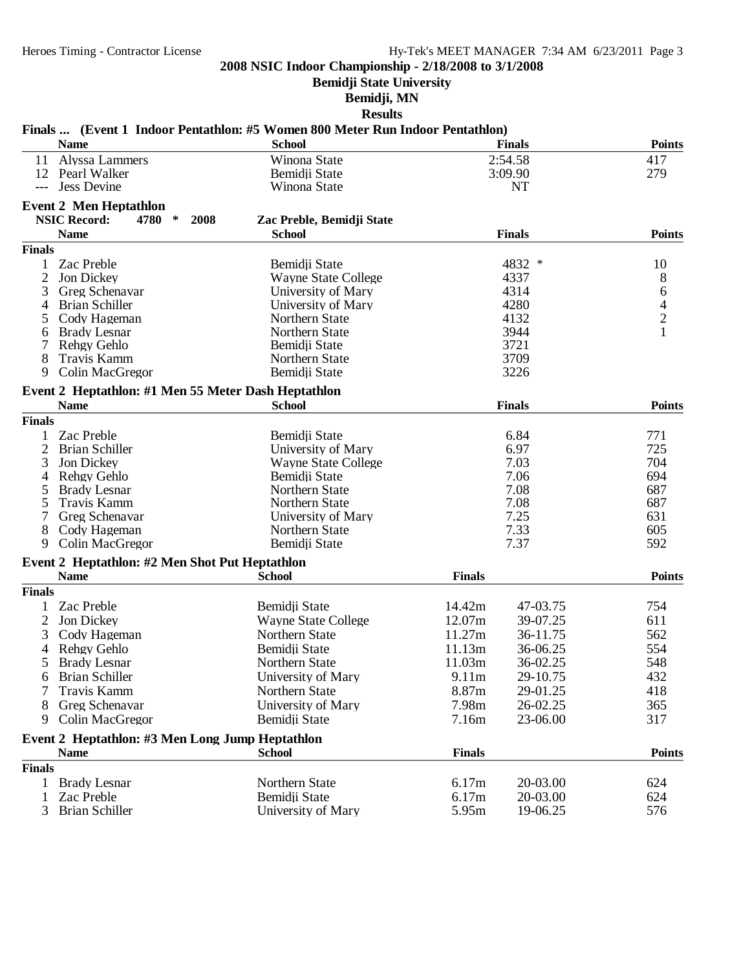**Bemidji State University**

# **Bemidji, MN**

| <b>Name</b>                                         | <b>School</b>              |               | <b>Finals</b>  | <b>Points</b> |
|-----------------------------------------------------|----------------------------|---------------|----------------|---------------|
| 11<br>Alyssa Lammers                                | Winona State               |               | 2:54.58        | 417           |
| 12 Pearl Walker                                     | Bemidji State              |               | 3:09.90        | 279           |
| <b>Jess Devine</b><br>$---$                         | Winona State               |               | <b>NT</b>      |               |
| <b>Event 2 Men Heptathlon</b>                       |                            |               |                |               |
| <b>NSIC Record:</b><br>4780<br>$\ast$<br>2008       |                            |               |                |               |
|                                                     | Zac Preble, Bemidji State  |               |                |               |
| <b>Name</b>                                         | <b>School</b>              |               | <b>Finals</b>  | <b>Points</b> |
| <b>Finals</b>                                       |                            |               |                |               |
| Zac Preble<br>$\mathbf{1}$                          | Bemidji State              |               | 4832<br>$\ast$ | 10            |
| $\overline{2}$<br>Jon Dickey                        | <b>Wayne State College</b> |               | 4337           | 8             |
| 3<br>Greg Schenavar                                 | University of Mary         |               | 4314           | 6             |
| <b>Brian Schiller</b><br>4                          | University of Mary         |               | 4280           | $\frac{4}{2}$ |
| Cody Hageman<br>5                                   | Northern State             |               | 4132           |               |
| <b>Brady Lesnar</b><br>6                            | Northern State             |               | 3944           | $\mathbf{1}$  |
| 7<br>Rehgy Gehlo                                    | Bemidji State              |               | 3721           |               |
| 8<br>Travis Kamm                                    | Northern State             |               | 3709           |               |
| 9<br>Colin MacGregor                                | Bemidji State              |               | 3226           |               |
| Event 2 Heptathlon: #1 Men 55 Meter Dash Heptathlon |                            |               |                |               |
| <b>Name</b>                                         | <b>School</b>              |               | <b>Finals</b>  | <b>Points</b> |
| <b>Finals</b>                                       |                            |               |                |               |
| Zac Preble<br>1                                     | Bemidii State              |               | 6.84           | 771           |
|                                                     |                            |               |                |               |
| $\overline{c}$<br><b>Brian Schiller</b>             | University of Mary         |               | 6.97           | 725           |
| 3<br>Jon Dickey                                     | <b>Wayne State College</b> |               | 7.03           | 704           |
| Rehgy Gehlo<br>4                                    | Bemidji State              |               | 7.06           | 694           |
| 5<br><b>Brady Lesnar</b>                            | Northern State             |               | 7.08           | 687           |
| 5<br>Travis Kamm                                    | Northern State             |               | 7.08           | 687           |
| Greg Schenavar                                      | University of Mary         |               | 7.25           | 631           |
| 8<br>Cody Hageman                                   | Northern State             |               | 7.33           | 605           |
| 9<br>Colin MacGregor                                | Bemidji State              |               | 7.37           | 592           |
| Event 2 Heptathlon: #2 Men Shot Put Heptathlon      |                            |               |                |               |
| <b>Name</b>                                         | <b>School</b>              | <b>Finals</b> |                | <b>Points</b> |
| <b>Finals</b>                                       |                            |               |                |               |
| Zac Preble<br>1                                     | Bemidji State              | 14.42m        | 47-03.75       | 754           |
| $\overline{c}$<br>Jon Dickey                        | <b>Wayne State College</b> | 12.07m        | 39-07.25       | 611           |
| 3<br>Cody Hageman                                   | Northern State             | 11.27m        | 36-11.75       | 562           |
| Rehgy Gehlo<br>4                                    | Bemidji State              | 11.13m        | 36-06.25       | 554           |
| 5<br><b>Brady Lesnar</b>                            | Northern State             | 11.03m        | 36-02.25       | 548           |
| <b>Brian Schiller</b><br>O                          | University of Mary         | 9.11m         | 29-10.75       | 432           |
| Travis Kamm<br>7                                    | Northern State             | 8.87m         | 29-01.25       | 418           |
| Greg Schenavar<br>8                                 | University of Mary         | 7.98m         | 26-02.25       | 365           |
|                                                     |                            |               |                |               |
| Colin MacGregor<br>9                                | Bemidji State              | 7.16m         | 23-06.00       | 317           |
| Event 2 Heptathlon: #3 Men Long Jump Heptathlon     |                            |               |                |               |
| <b>Name</b>                                         | <b>School</b>              | <b>Finals</b> |                | <b>Points</b> |
| <b>Finals</b>                                       |                            |               |                |               |
| <b>Brady Lesnar</b><br>1                            | Northern State             | 6.17m         | 20-03.00       | 624           |
| Zac Preble<br>1                                     | Bemidii State              | 6.17m         | 20-03.00       | 624           |
| 3<br><b>Brian Schiller</b>                          | University of Mary         | 5.95m         | 19-06.25       | 576           |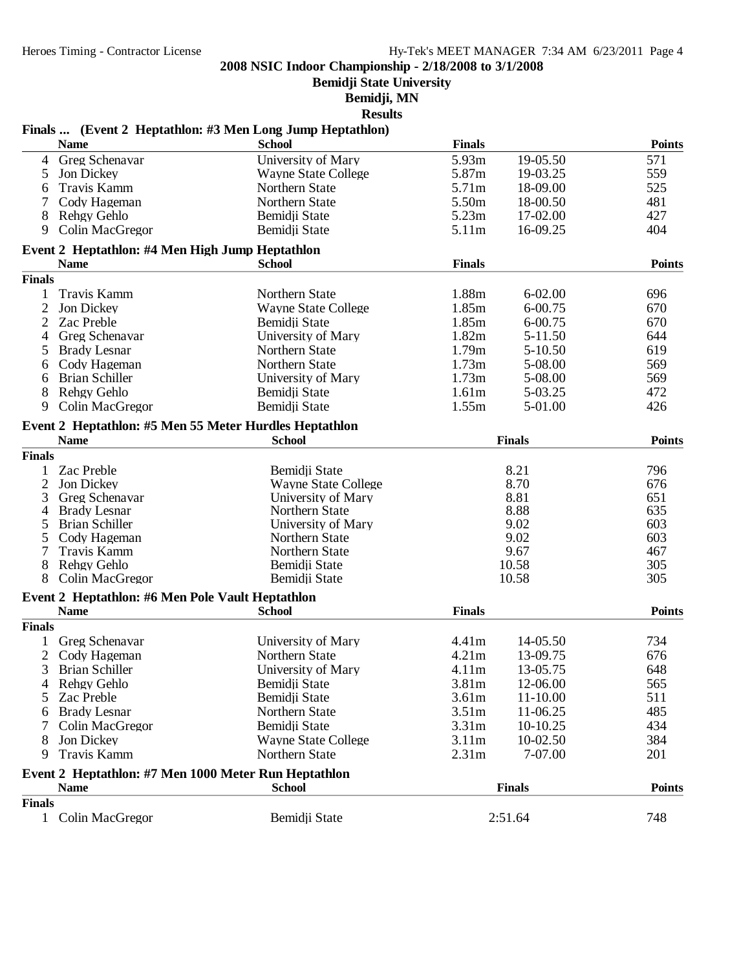**Bemidji State University**

**Bemidji, MN**

**Results**

#### **Finals ... (Event 2 Heptathlon: #3 Men Long Jump Heptathlon) Name School Finals Points** 4 Greg Schenavar University of Mary 5.93m 19-05.50 571 Wayne State College 5.87m 19-03.25 559<br>
Northern State 5.71m 18-09.00 525 6 Travis Kamm Morthern State 5.71m 18-09.00<br>
7 Cody Hageman Northern State 5.50m 18-00.50 7 Cody Hageman Northern State 5.50m 18-00.50 481 8 Rehgy Gehlo Bemidji State 5.23m 17-02.00 427<br>
9 Colin MacGregor Bemidji State 5.11 9 Colin MacGregor **Event 2 Heptathlon: #4 Men High Jump Heptathlon Name School Finals Points Finals** 1 Travis Kamm Northern State 1.88m 6-02.00 696 2 Jon Dickey Wayne State College 1.85m 6-00.75 670 Bemidii State 1.85m 6-00.75 670 4 Greg Schenavar University of Mary 1.82m 5-11.50 644 5 Brady Lesnar 6 Cody Hageman Northern State 1.73m 5-08.00 569 6 Brian Schiller University of Mary 1.73m 5-08.00 569 8 Rehgy Gehlo Bemidji State 1.61m 5-03.25 472<br>
9 Colin MacGregor Bemidii State 1.55m 9 Colin MacGregor **Event 2 Heptathlon: #5 Men 55 Meter Hurdles Heptathlon Name School Finals Points Finals** 1 Zac Preble Bemidji State 8.21 796 2 Jon Dickey Wayne State College 8.70 676 3 Greg Schenavar University of Mary 8.81 651 4 Brady Lesnar Northern State 8.88 635 5 Brian Schiller University of Mary 9.02 603 5 Cody Hageman 1 1 Northern State 1 1 1 9.02 603<br>
7 Travis Kamm 1 1 Northern State 1 9.67 467 Travis Kamm Northern State 9.67 467<br>Rehey Gehlo Bemidii State 10.58 305 8 Rehgy Gehlo Bemidji State 10.58 305 8 Colin MacGregor **Event 2 Heptathlon: #6 Men Pole Vault Heptathlon Name School Finals Points Finals** 1 Greg Schenavar University of Mary 4.41m 14-05.50 734 2 Cody Hageman 3 Brian Schiller University of Mary 4.11m 13-05.75 648 4 Rehgy Gehlo Bemidji State<br>5.81 State Bemidji State 5 Zac Preble Bemidji State 3.61m 11-10.00 511 6 Brady Lesnar Northern State 3.51m 11-06.25 485 Colin MacGregor 8 Jon Dickey Wayne State College 3.11m 10-02.50 384 9 Travis Kamm Northern State 2.31m 7-07.00 201 **Event 2 Heptathlon: #7 Men 1000 Meter Run Heptathlon Name School Finals Points Finals** 1 Colin MacGregor Bemidji State 2:51.64 748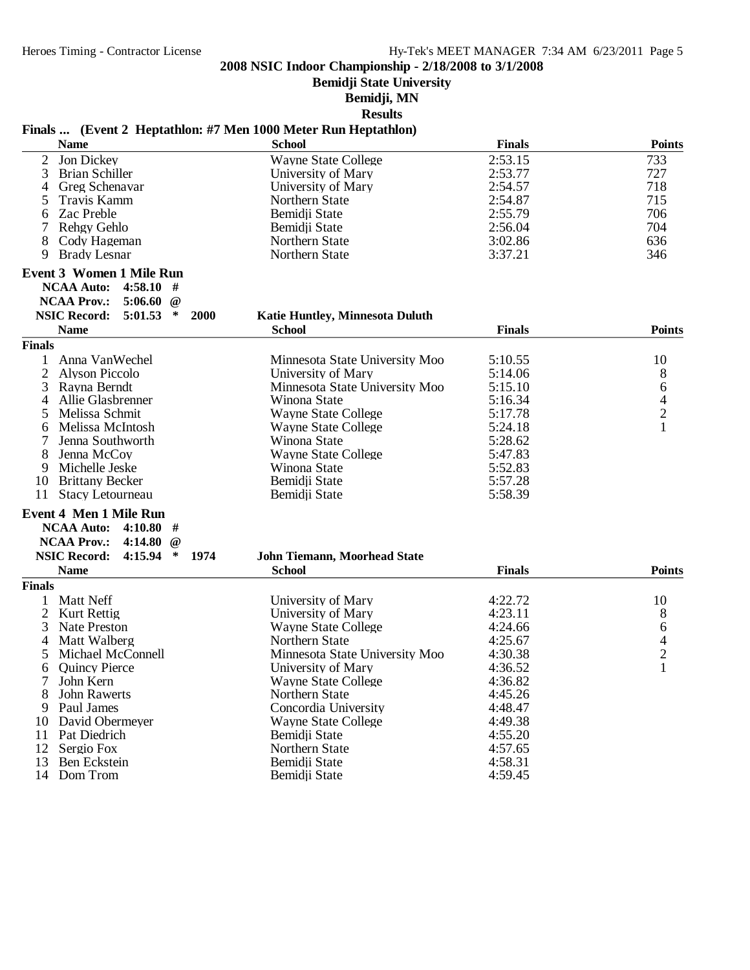**Bemidji State University**

**Bemidji, MN**

**Results**

#### **Finals ... (Event 2 Heptathlon: #7 Men 1000 Meter Run Heptathlon)**

| <b>Name</b>                                      | <b>School</b>                          | <b>Finals</b> | <b>Points</b>  |
|--------------------------------------------------|----------------------------------------|---------------|----------------|
| 2<br>Jon Dickey                                  | <b>Wayne State College</b>             | 2:53.15       | 733            |
| 3<br><b>Brian Schiller</b>                       | University of Mary                     | 2:53.77       | 727            |
| Greg Schenavar<br>4                              | University of Mary                     | 2:54.57       | 718            |
| Travis Kamm<br>5                                 | Northern State                         | 2:54.87       | 715            |
| Zac Preble<br>6                                  | Bemidii State                          | 2:55.79       | 706            |
| Rehgy Gehlo                                      | Bemidji State                          | 2:56.04       | 704            |
| 8<br>Cody Hageman                                | Northern State                         | 3:02.86       | 636            |
| <b>Brady Lesnar</b><br>9                         | Northern State                         | 3:37.21       | 346            |
| <b>Event 3 Women 1 Mile Run</b>                  |                                        |               |                |
| 4:58.10<br><b>NCAA Auto:</b><br>#                |                                        |               |                |
| <b>NCAA Prov.:</b><br>5:06.60<br>$\omega$        |                                        |               |                |
| <b>NSIC Record:</b><br>5:01.53<br>2000<br>$\ast$ | <b>Katie Huntley, Minnesota Duluth</b> |               |                |
| <b>Name</b>                                      | <b>School</b>                          | <b>Finals</b> | <b>Points</b>  |
| <b>Finals</b>                                    |                                        |               |                |
| Anna VanWechel<br>1                              | Minnesota State University Moo         | 5:10.55       | 10             |
| $\overline{2}$<br><b>Alyson Piccolo</b>          | University of Mary                     | 5:14.06       | 8              |
| 3<br>Rayna Berndt                                | Minnesota State University Moo         | 5:15.10       | 6              |
| Allie Glasbrenner<br>4                           | Winona State                           | 5:16.34       | 4              |
| Melissa Schmit<br>5                              | <b>Wayne State College</b>             | 5:17.78       | $\overline{2}$ |
| Melissa McIntosh<br>6                            | <b>Wayne State College</b>             | 5:24.18       | $\mathbf{1}$   |
| Jenna Southworth                                 | Winona State                           | 5:28.62       |                |
| 8<br>Jenna McCoy                                 | <b>Wayne State College</b>             | 5:47.83       |                |
| Michelle Jeske<br>9                              | Winona State                           | 5:52.83       |                |
| 10<br><b>Brittany Becker</b>                     |                                        | 5:57.28       |                |
| 11<br>Stacy Letourneau                           | Bemidji State<br>Bemidji State         | 5:58.39       |                |
|                                                  |                                        |               |                |
| <b>Event 4 Men 1 Mile Run</b>                    |                                        |               |                |
| <b>NCAA Auto:</b><br>4:10.80#                    |                                        |               |                |
| <b>NCAA Prov.:</b><br>4:14.80<br>$\omega$        |                                        |               |                |
| <b>NSIC Record:</b><br>4:15.94<br>$\ast$<br>1974 | <b>John Tiemann, Moorhead State</b>    |               |                |
| <b>Name</b>                                      | <b>School</b>                          | <b>Finals</b> | <b>Points</b>  |
| <b>Finals</b>                                    |                                        |               |                |
| Matt Neff                                        | University of Mary                     | 4:22.72       | 10             |
| $\overline{c}$<br><b>Kurt Rettig</b>             | University of Mary                     | 4:23.11       | 8              |
| 3<br><b>Nate Preston</b>                         | <b>Wayne State College</b>             | 4:24.66       | 6              |
| Matt Walberg<br>4                                | Northern State                         | 4:25.67       | $\frac{4}{2}$  |
| Michael McConnell<br>5                           | Minnesota State University Moo         | 4:30.38       |                |
| <b>Quincy Pierce</b><br>6                        | University of Mary                     | 4:36.52       | $\mathbf{1}$   |
| 7 John Kern                                      | <b>Wayne State College</b>             | 4:36.82       |                |
| <b>John Rawerts</b>                              | Northern State                         | 4:45.26       |                |
| Paul James<br>9                                  | Concordia University                   | 4:48.47       |                |
| David Obermeyer<br>10                            | <b>Wayne State College</b>             | 4:49.38       |                |
| 11<br>Pat Diedrich                               | Bemidji State                          | 4:55.20       |                |
| 12<br>Sergio Fox                                 | Northern State                         | 4:57.65       |                |
| 13<br><b>Ben Eckstein</b>                        | Bemidji State                          | 4:58.31       |                |
| 14<br>Dom Trom                                   | Bemidji State                          | 4:59.45       |                |
|                                                  |                                        |               |                |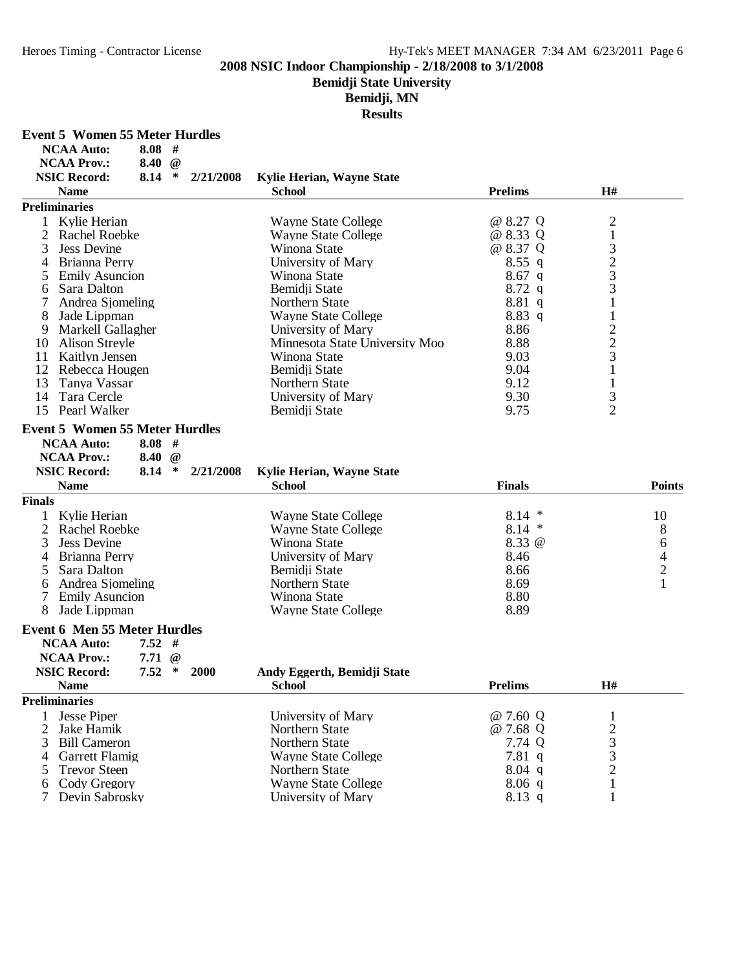**Bemidji State University**

# **Bemidji, MN**

|                   | Event 5 Women 55 Meter Hurdles |  |
|-------------------|--------------------------------|--|
| <b>NCAA Auto:</b> | 8.08#                          |  |

| <b>NCAA Prov.:</b>                     | 8.40 $@$ |             |             |                                |                    |                                                 |               |
|----------------------------------------|----------|-------------|-------------|--------------------------------|--------------------|-------------------------------------------------|---------------|
| <b>NSIC Record:</b>                    | 8.14     | $\ast$      | 2/21/2008   | Kylie Herian, Wayne State      |                    |                                                 |               |
| <b>Name</b>                            |          |             |             | <b>School</b>                  | <b>Prelims</b>     | H#                                              |               |
| <b>Preliminaries</b>                   |          |             |             |                                |                    |                                                 |               |
| Kylie Herian<br>1                      |          |             |             | <b>Wayne State College</b>     | @ 8.27 Q           | $\overline{c}$                                  |               |
| $\overline{c}$<br><b>Rachel Roebke</b> |          |             |             | <b>Wayne State College</b>     | @ 8.33 Q           | $\mathbf{1}$                                    |               |
| 3<br><b>Jess Devine</b>                |          |             |             | Winona State                   | @ 8.37 Q           |                                                 |               |
| Brianna Perry<br>4                     |          |             |             | University of Mary             | $8.55$ q           | $\begin{array}{c} 3 \\ 2 \\ 3 \\ 3 \end{array}$ |               |
| <b>Emily Asuncion</b><br>5             |          |             |             | Winona State                   | $8.67$ q           |                                                 |               |
| Sara Dalton<br>6                       |          |             |             | Bemidji State                  | $8.72$ q           |                                                 |               |
| 7<br>Andrea Sjomeling                  |          |             |             | Northern State                 | 8.81q              | $\mathbf{1}$                                    |               |
| 8<br>Jade Lippman                      |          |             |             | <b>Wayne State College</b>     | 8.83 q             | $\mathbf{1}$                                    |               |
| 9<br>Markell Gallagher                 |          |             |             | University of Mary             | 8.86               |                                                 |               |
| 10<br><b>Alison Streyle</b>            |          |             |             | Minnesota State University Moo | 8.88               |                                                 |               |
| Kaitlyn Jensen<br>11                   |          |             |             | Winona State                   | 9.03               | $\frac{2}{3}$                                   |               |
| 12<br>Rebecca Hougen                   |          |             |             | Bemidji State                  | 9.04               | $\mathbf{1}$                                    |               |
| 13<br>Tanya Vassar                     |          |             |             | Northern State                 | 9.12               | $\mathbf{1}$                                    |               |
| Tara Cercle<br>14                      |          |             |             | University of Mary             | 9.30               |                                                 |               |
| 15<br>Pearl Walker                     |          |             |             | Bemidji State                  | 9.75               | $\frac{3}{2}$                                   |               |
| <b>Event 5 Women 55 Meter Hurdles</b>  |          |             |             |                                |                    |                                                 |               |
| <b>NCAA Auto:</b>                      | $8.08$ # |             |             |                                |                    |                                                 |               |
| <b>NCAA Prov.:</b>                     | 8.40     | $\omega$    |             |                                |                    |                                                 |               |
|                                        |          |             |             |                                |                    |                                                 |               |
| <b>NSIC Record:</b>                    | 8.14     | $\ast$      | 2/21/2008   | Kylie Herian, Wayne State      |                    |                                                 |               |
| <b>Name</b>                            |          |             |             | <b>School</b>                  | <b>Finals</b>      |                                                 | <b>Points</b> |
| <b>Finals</b>                          |          |             |             |                                |                    |                                                 |               |
| Kylie Herian<br>1                      |          |             |             | <b>Wayne State College</b>     | $8.14*$            |                                                 | 10            |
| $\overline{2}$<br><b>Rachel Roebke</b> |          |             |             | <b>Wayne State College</b>     | $8.14*$            |                                                 | 8             |
| <b>Jess Devine</b><br>3                |          |             |             | Winona State                   | 8.33 @             |                                                 | 6             |
| Brianna Perry<br>4                     |          |             |             | University of Mary             | 8.46               |                                                 | $\frac{4}{2}$ |
| 5<br>Sara Dalton                       |          |             |             | Bemidji State                  | 8.66               |                                                 |               |
| Andrea Sjomeling<br>6                  |          |             |             | Northern State                 | 8.69               |                                                 |               |
| 7<br><b>Emily Asuncion</b>             |          |             |             | Winona State                   | 8.80               |                                                 |               |
| 8<br>Jade Lippman                      |          |             |             | <b>Wayne State College</b>     | 8.89               |                                                 |               |
| <b>Event 6 Men 55 Meter Hurdles</b>    |          |             |             |                                |                    |                                                 |               |
| <b>NCAA Auto:</b>                      | $7.52$ # |             |             |                                |                    |                                                 |               |
| <b>NCAA Prov.:</b>                     | 7.71     | $^{\omega}$ |             |                                |                    |                                                 |               |
| <b>NSIC Record:</b>                    | 7.52     | $\ast$      | <b>2000</b> | Andy Eggerth, Bemidji State    |                    |                                                 |               |
| <b>Name</b>                            |          |             |             | <b>School</b>                  | <b>Prelims</b>     | H#                                              |               |
| <b>Preliminaries</b>                   |          |             |             |                                |                    |                                                 |               |
|                                        |          |             |             |                                |                    |                                                 |               |
| <b>Jesse Piper</b><br>1                |          |             |             | University of Mary             | @ 7.60 Q           | $\mathbf{1}$                                    |               |
| 2<br>Jake Hamik                        |          |             |             | Northern State                 | @ 7.68 Q<br>7.74 Q | $\begin{array}{c} 2 \\ 3 \\ 2 \end{array}$      |               |
| 3<br><b>Bill Cameron</b>               |          |             |             | Northern State                 |                    |                                                 |               |
| <b>Garrett Flamig</b><br>4             |          |             |             | <b>Wayne State College</b>     | 7.81q              |                                                 |               |
| <b>Trevor Steen</b><br>5               |          |             |             | Northern State                 | $8.04$ q           |                                                 |               |
| Cody Gregory<br>6                      |          |             |             | <b>Wayne State College</b>     | $8.06$ q           | 1                                               |               |
| 7<br>Devin Sabrosky                    |          |             |             | University of Mary             | 8.13 q             |                                                 |               |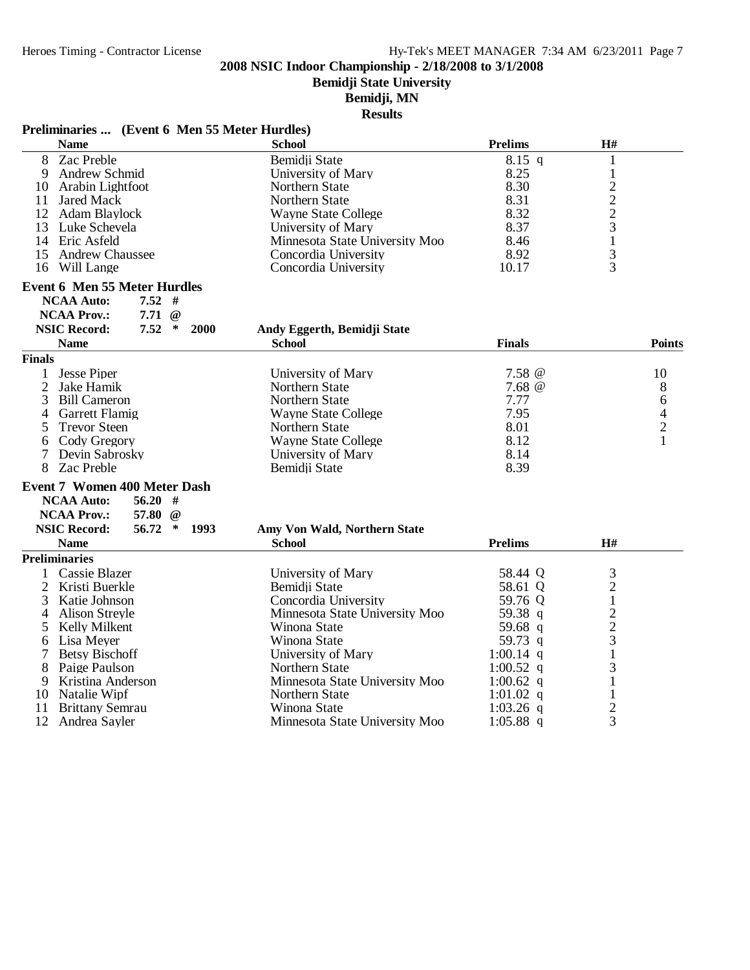**Bemidji State University**

#### **Bemidji, MN**

**Results**

| Preliminaries  (Event 6 Men 55 Meter Hurdles) |                                |                |                                |               |
|-----------------------------------------------|--------------------------------|----------------|--------------------------------|---------------|
| <b>Name</b>                                   | <b>School</b>                  | <b>Prelims</b> | H#                             |               |
| 8<br>Zac Preble                               | Bemidji State                  | $8.15$ q       | $\mathbf{1}$                   |               |
| <b>Andrew Schmid</b><br>9                     | University of Mary             | 8.25           | $\mathbf{1}$                   |               |
| 10 Arabin Lightfoot                           | Northern State                 | 8.30           |                                |               |
| 11 Jared Mack                                 | Northern State                 | 8.31           |                                |               |
| 12 Adam Blaylock                              | <b>Wayne State College</b>     | 8.32           | $\frac{2}{2}$<br>$\frac{2}{3}$ |               |
| 13 Luke Schevela                              | University of Mary             | 8.37           |                                |               |
| 14 Eric Asfeld                                | Minnesota State University Moo | 8.46           | $\mathbf{1}$                   |               |
| 15 Andrew Chaussee                            | Concordia University           | 8.92           | 3                              |               |
| 16 Will Lange                                 | Concordia University           | 10.17          | 3                              |               |
| <b>Event 6 Men 55 Meter Hurdles</b>           |                                |                |                                |               |
| $7.52$ #<br><b>NCAA Auto:</b>                 |                                |                |                                |               |
| <b>NCAA Prov.:</b><br>$7.71 \ @$              |                                |                |                                |               |
| <b>NSIC Record:</b><br>7.52<br>$\ast$<br>2000 | Andy Eggerth, Bemidji State    |                |                                |               |
| <b>Name</b>                                   | <b>School</b>                  | <b>Finals</b>  |                                | <b>Points</b> |
| <b>Finals</b>                                 |                                |                |                                |               |
| <b>Jesse Piper</b><br>$\mathbf{1}$            | University of Mary             | $7.58 \ @$     |                                | 10            |
| 2<br>Jake Hamik                               | <b>Northern State</b>          | 7.68 @         |                                | 8             |
| 3<br><b>Bill Cameron</b>                      | Northern State                 | 7.77           |                                | 6             |
| 4<br><b>Garrett Flamig</b>                    | <b>Wayne State College</b>     | 7.95           |                                | $\frac{4}{2}$ |
| <b>Trevor Steen</b><br>5                      | Northern State                 | 8.01           |                                |               |
| Cody Gregory<br>6                             | <b>Wayne State College</b>     | 8.12           |                                | $\mathbf{1}$  |
| $\tau$<br>Devin Sabrosky                      | University of Mary             | 8.14           |                                |               |
| 8<br>Zac Preble                               | Bemidji State                  | 8.39           |                                |               |
| Event 7 Women 400 Meter Dash                  |                                |                |                                |               |
| <b>NCAA Auto:</b><br>$56.20$ #                |                                |                |                                |               |
| <b>NCAA Prov.:</b><br>57.80<br>$\omega$       |                                |                |                                |               |
| <b>NSIC Record:</b><br>56.72<br>∗<br>1993     | Amy Von Wald, Northern State   |                |                                |               |
| <b>Name</b>                                   | <b>School</b>                  | <b>Prelims</b> | H#                             |               |
| <b>Preliminaries</b>                          |                                |                |                                |               |
| 1 Cassie Blazer                               | University of Mary             | 58.44 Q        | 3                              |               |
| $\overline{2}$<br>Kristi Buerkle              | Bemidji State                  | 58.61 Q        | $\boldsymbol{2}$               |               |
| 3<br>Katie Johnson                            | Concordia University           | 59.76 Q        | $\mathbf 1$                    |               |
| <b>Alison Streyle</b><br>4                    | Minnesota State University Moo | 59.38 q        | $\overline{c}$                 |               |
| 5<br>Kelly Milkent                            | Winona State                   | 59.68 q        | $\frac{2}{3}$                  |               |
| Lisa Meyer<br>6                               | Winona State                   | 59.73 q        |                                |               |
| 7<br><b>Betsy Bischoff</b>                    | University of Mary             | 1:00.14 q      | 1                              |               |
| 8<br>Paige Paulson                            | Northern State                 | 1:00.52 q      | 3                              |               |
| Kristina Anderson<br>9                        | Minnesota State University Moo | 1:00.62 q      | 1                              |               |
| 10<br>Natalie Wipf                            | Northern State                 | 1:01.02 q      | 1                              |               |
| 11<br><b>Brittany Semrau</b>                  | Winona State                   | 1:03.26 q      | $\overline{2}$                 |               |

12 Andrea Sayler Minnesota State University Moo 1:05.88 q 3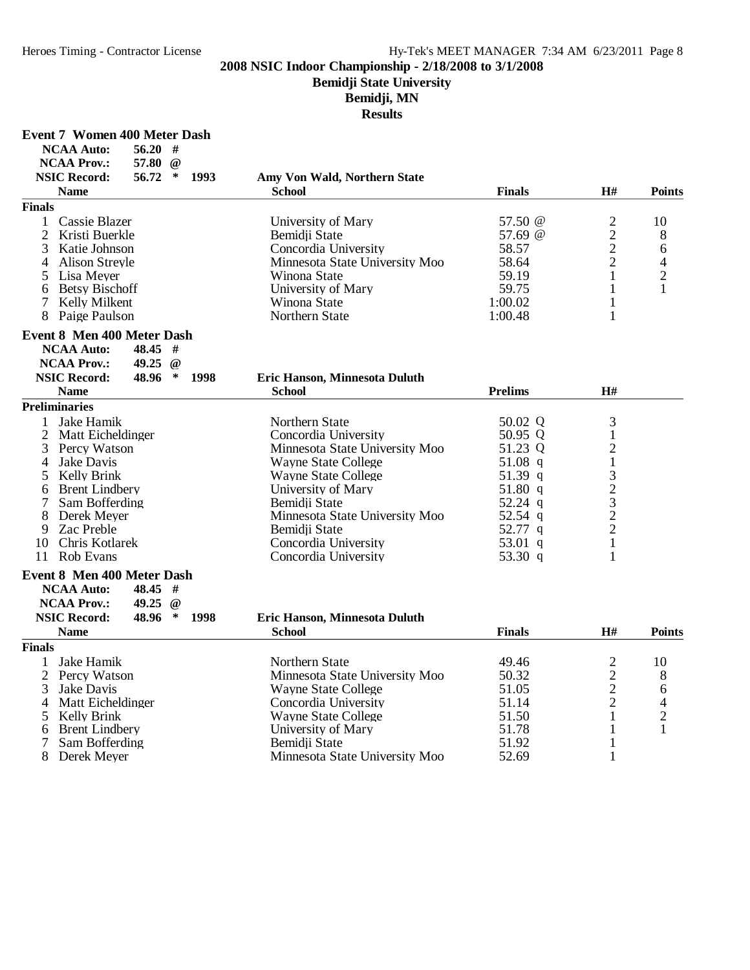**Event 7 Women 400 Meter Dash**

#### **2008 NSIC Indoor Championship - 2/18/2008 to 3/1/2008**

#### **Bemidji State University**

**Bemidji, MN**

**Results**

| NCAA Auto:          | 56.20#    |      |                              |               |    |        |
|---------------------|-----------|------|------------------------------|---------------|----|--------|
| <b>NCAA Prov.:</b>  | 57.80 @   |      |                              |               |    |        |
| <b>NSIC Record:</b> | $56.72$ * | 1993 | Amy Von Wald, Northern State |               |    |        |
| Name                |           |      | School                       | <b>Finals</b> | H# | Points |

# $\overline{F}$ i

| University of Mary                                                                                                                                            | 57.50 @ | 10 |
|---------------------------------------------------------------------------------------------------------------------------------------------------------------|---------|----|
| Bemidii State                                                                                                                                                 | 57.69 @ | 8  |
| Concordia University                                                                                                                                          | 58.57   | 6  |
| Minnesota State University Moo                                                                                                                                | 58.64   |    |
| Winona State                                                                                                                                                  | 59.19   |    |
| University of Mary                                                                                                                                            | 59.75   |    |
| Winona State                                                                                                                                                  | 1:00.02 |    |
| Northern State                                                                                                                                                | 1:00.48 |    |
| inals<br>1 Cassie Blazer<br>2 Kristi Buerkle<br>3 Katie Johnson<br>4 Alison Streyle<br>5 Lisa Meyer<br>6 Betsy Bischoff<br>7 Kelly Milkent<br>8 Paige Paulson |         |    |

#### **Event 8 Men 400 Meter Dash**

| <b>NCAA Auto:</b><br><b>NCAA Prov.:</b> | $48.45 \pm 1$<br>49.25 $\omega$ |      |                               |                |    |  |
|-----------------------------------------|---------------------------------|------|-------------------------------|----------------|----|--|
|                                         |                                 |      |                               |                |    |  |
| <b>NSIC Record:</b>                     | $48.96*$                        | 1998 | Eric Hanson, Minnesota Duluth |                |    |  |
| <b>Name</b>                             |                                 |      | <b>School</b>                 | <b>Prelims</b> | Н# |  |
| <sup>2</sup> reliminaries               |                                 |      |                               |                |    |  |

#### **Preliminaries**

|   | Preliminaries       |                                |           |  |
|---|---------------------|--------------------------------|-----------|--|
|   | Jake Hamik          | Northern State                 | 50.02 Q   |  |
|   | 2 Matt Eicheldinger | Concordia University           | 50.95 Q   |  |
|   | 3 Percy Watson      | Minnesota State University Moo | 51.23 Q   |  |
|   | Jake Davis          | <b>Wayne State College</b>     | 51.08 q   |  |
|   | 5 Kelly Brink       | Wayne State College            | 51.39 $q$ |  |
|   | 6 Brent Lindbery    | University of Mary             | 51.80 $q$ |  |
|   | Sam Bofferding      | Bemidji State                  | 52.24 q   |  |
|   | Derek Mever         | Minnesota State University Moo | 52.54 q   |  |
| 9 | Zac Preble          | Bemidji State                  | 52.77 q   |  |
|   | 10 Chris Kotlarek   | Concordia University           | 53.01 q   |  |
|   | Rob Evans           | Concordia University           | 53.30 q   |  |

#### **Event 8 Men 400 Meter Dash**

|               | <b>NCAA Auto:</b><br><b>NCAA Prov.:</b><br><b>NSIC Record:</b> | $48.45$ #<br>49.25<br>$\omega$<br>48.96<br>∗ | 1998 | Eric Hanson, Minnesota Duluth  |               |    |               |
|---------------|----------------------------------------------------------------|----------------------------------------------|------|--------------------------------|---------------|----|---------------|
|               | <b>Name</b>                                                    |                                              |      | <b>School</b>                  | <b>Finals</b> | H# | <b>Points</b> |
| <b>Finals</b> |                                                                |                                              |      |                                |               |    |               |
|               | Jake Hamik                                                     |                                              |      | Northern State                 | 49.46         |    | 10            |
|               | 2 Percy Watson                                                 |                                              |      | Minnesota State University Moo | 50.32         | ⌒  | 8             |
|               | Jake Davis                                                     |                                              |      | <b>Wayne State College</b>     | 51.05         | ◠  | 6             |
| 4             | Matt Eicheldinger                                              |                                              |      | Concordia University           | 51.14         | ⌒  |               |
|               | 5 Kelly Brink                                                  |                                              |      | Wayne State College            | 51.50         |    | ◠             |
| 6             | <b>Brent Lindbery</b>                                          |                                              |      | University of Mary             | 51.78         |    |               |
|               | Sam Bofferding                                                 |                                              |      | Bemidji State                  | 51.92         |    |               |
|               | Derek Meyer                                                    |                                              |      | Minnesota State University Moo | 52.69         |    |               |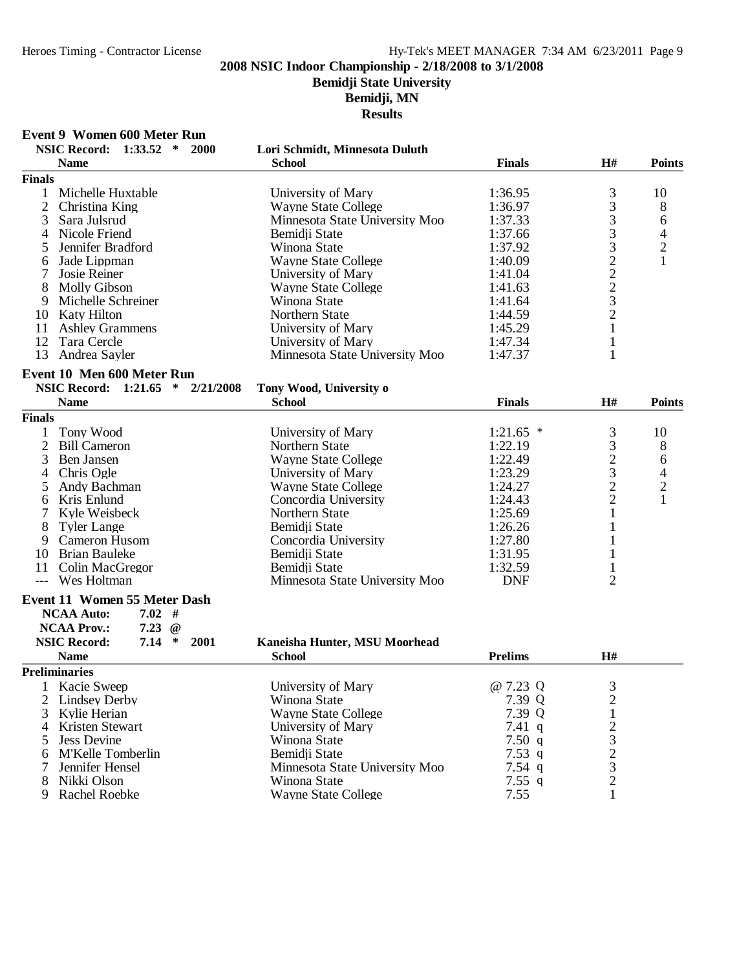**Bemidji State University**

**Bemidji, MN**

|                | <b>Event 9 Women 600 Meter Run</b>               |                                |                |                                                         |                                            |
|----------------|--------------------------------------------------|--------------------------------|----------------|---------------------------------------------------------|--------------------------------------------|
|                | <b>NSIC Record:</b><br>1:33.52<br>$\ast$<br>2000 | Lori Schmidt, Minnesota Duluth |                |                                                         |                                            |
|                | <b>Name</b>                                      | <b>School</b>                  | <b>Finals</b>  | H#                                                      | <b>Points</b>                              |
| <b>Finals</b>  |                                                  |                                |                |                                                         |                                            |
|                | Michelle Huxtable                                | University of Mary             | 1:36.95        | 3                                                       | 10                                         |
| $\overline{2}$ | Christina King                                   | <b>Wayne State College</b>     | 1:36.97        |                                                         | 8                                          |
| 3              | Sara Julsrud                                     | Minnesota State University Moo | 1:37.33        | $\begin{array}{c} 3 \\ 3 \\ 3 \end{array}$              | 6                                          |
| 4              | Nicole Friend                                    | Bemidji State                  | 1:37.66        |                                                         |                                            |
| 5              | Jennifer Bradford                                | Winona State                   | 1:37.92        |                                                         | $\begin{array}{c} 4 \\ 2 \\ 1 \end{array}$ |
| 6              | Jade Lippman                                     | <b>Wayne State College</b>     | 1:40.09        | $32223$<br>$32$                                         |                                            |
| 7              | Josie Reiner                                     | University of Mary             | 1:41.04        |                                                         |                                            |
| 8              | <b>Molly Gibson</b>                              | <b>Wayne State College</b>     | 1:41.63        |                                                         |                                            |
| 9              | Michelle Schreiner                               | Winona State                   | 1:41.64        |                                                         |                                            |
| 10             | Katy Hilton                                      | Northern State                 | 1:44.59        |                                                         |                                            |
| 11             | <b>Ashley Grammens</b>                           | University of Mary             | 1:45.29        | $\mathbf{1}$                                            |                                            |
| 12             | Tara Cercle                                      | University of Mary             | 1:47.34        | $\mathbf{1}$                                            |                                            |
| 13             | Andrea Sayler                                    | Minnesota State University Moo | 1:47.37        | $\mathbf{1}$                                            |                                            |
|                |                                                  |                                |                |                                                         |                                            |
|                | Event 10 Men 600 Meter Run                       |                                |                |                                                         |                                            |
|                | NSIC Record: 1:21.65 * 2/21/2008                 | Tony Wood, University o        |                |                                                         |                                            |
|                | <b>Name</b>                                      | <b>School</b>                  | <b>Finals</b>  | H#                                                      | <b>Points</b>                              |
| <b>Finals</b>  |                                                  |                                |                |                                                         |                                            |
| 1              | Tony Wood                                        | University of Mary             | 1:21.65        | 3                                                       | 10                                         |
| $\overline{2}$ | <b>Bill Cameron</b>                              | Northern State                 | 1:22.19        |                                                         | 8                                          |
| 3              | Ben Jansen                                       | <b>Wayne State College</b>     | 1:22.49        | $\begin{array}{c} 3 \\ 2 \\ 3 \\ 2 \end{array}$         | 6                                          |
| 4              | Chris Ogle                                       | University of Mary             | 1:23.29        |                                                         | $\overline{4}$                             |
| 5              | Andy Bachman                                     | <b>Wayne State College</b>     | 1:24.27        |                                                         | $\sqrt{2}$                                 |
| 6              | Kris Enlund                                      | Concordia University           | 1:24.43        | $\overline{2}$                                          | 1                                          |
| 7              | Kyle Weisbeck                                    | Northern State                 | 1:25.69        | $\mathbf{1}$                                            |                                            |
| 8              | <b>Tyler Lange</b>                               | Bemidji State                  | 1:26.26        | 1                                                       |                                            |
| 9              | Cameron Husom                                    | Concordia University           | 1:27.80        | 1                                                       |                                            |
|                | 10 Brian Bauleke                                 | Bemidji State                  | 1:31.95        | $\mathbf{1}$                                            |                                            |
|                | 11 Colin MacGregor                               | Bemidji State                  | 1:32.59        | $\mathbf{1}$                                            |                                            |
| $---$          | Wes Holtman                                      | Minnesota State University Moo | <b>DNF</b>     | $\overline{2}$                                          |                                            |
|                |                                                  |                                |                |                                                         |                                            |
|                | Event 11 Women 55 Meter Dash                     |                                |                |                                                         |                                            |
|                | $7.02$ #<br><b>NCAA Auto:</b>                    |                                |                |                                                         |                                            |
|                | <b>NCAA Prov.:</b><br>7.23<br>$\omega$           |                                |                |                                                         |                                            |
|                | <b>NSIC Record:</b><br>$\ast$<br>7.14<br>2001    | Kaneisha Hunter, MSU Moorhead  |                |                                                         |                                            |
|                | <b>Name</b>                                      | <b>School</b>                  | <b>Prelims</b> | H#                                                      |                                            |
|                | <b>Preliminaries</b>                             |                                |                |                                                         |                                            |
|                | Kacie Sweep                                      | University of Mary             | @ 7.23 Q       |                                                         |                                            |
| 2              | <b>Lindsey Derby</b>                             | Winona State                   | 7.39 Q         | $\frac{3}{2}$                                           |                                            |
| 3              | Kylie Herian                                     | <b>Wayne State College</b>     | 7.39 Q         |                                                         |                                            |
| 4              | Kristen Stewart                                  | University of Mary             | 7.41 $q$       |                                                         |                                            |
| 5              | <b>Jess Devine</b>                               | Winona State                   | 7.50 $q$       |                                                         |                                            |
| 6              | M'Kelle Tomberlin                                | Bemidji State                  | 7.53 $q$       |                                                         |                                            |
| 7              | Jennifer Hensel                                  | Minnesota State University Moo | $7.54$ q       |                                                         |                                            |
| 8              | Nikki Olson                                      | Winona State                   | 7.55 $q$       | $\frac{1}{2}$ $\frac{3}{2}$ $\frac{2}{3}$ $\frac{3}{2}$ |                                            |
| 9              | Rachel Roebke                                    | <b>Wayne State College</b>     | 7.55           | $\mathbf{1}$                                            |                                            |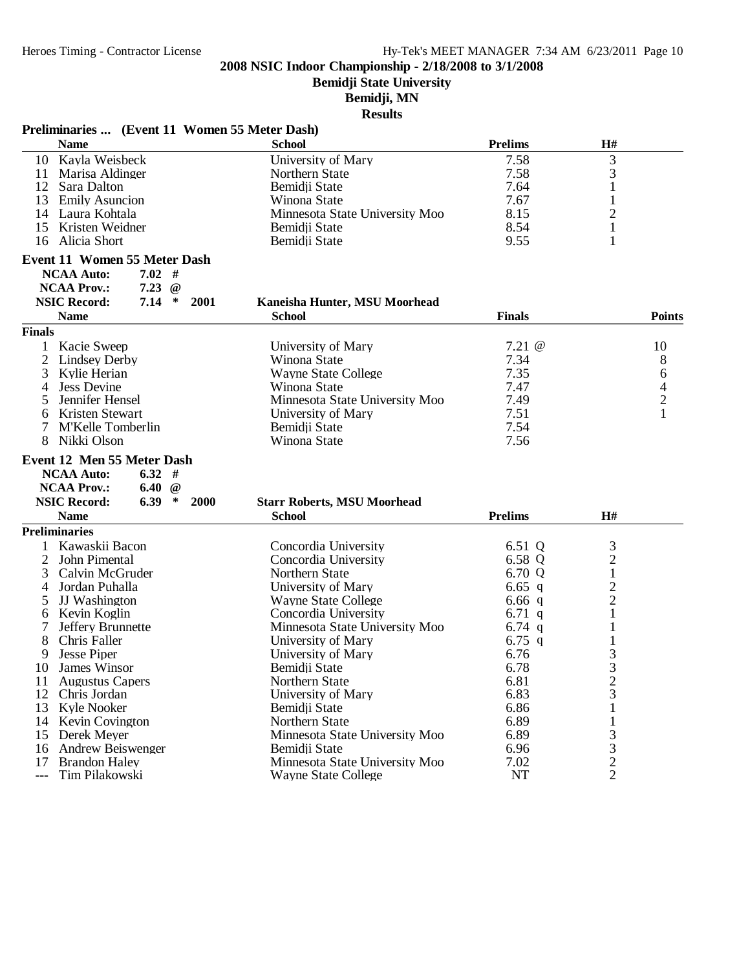**Bemidji State University**

**Bemidji, MN**

| Preliminaries  (Event 11 Women 55 Meter Dash)                |                                                 |                  |                     |               |
|--------------------------------------------------------------|-------------------------------------------------|------------------|---------------------|---------------|
| <b>Name</b>                                                  | <b>School</b>                                   | <b>Prelims</b>   | H#                  |               |
| 10 Kayla Weisbeck                                            | University of Mary                              | 7.58             | 3                   |               |
| 11 Marisa Aldinger                                           | Northern State                                  | 7.58             | 3                   |               |
| Sara Dalton<br>12                                            | Bemidji State                                   | 7.64             |                     |               |
| 13<br><b>Emily Asuncion</b>                                  | Winona State                                    | 7.67             | $\mathbf{1}$        |               |
| 14 Laura Kohtala                                             | Minnesota State University Moo                  | 8.15             | $\overline{c}$      |               |
| Kristen Weidner<br>15                                        | Bemidji State                                   | 8.54             | $\mathbf{1}$        |               |
| 16 Alicia Short                                              | Bemidji State                                   | 9.55             | 1                   |               |
| <b>Event 11 Women 55 Meter Dash</b>                          |                                                 |                  |                     |               |
| $7.02$ #<br><b>NCAA Auto:</b>                                |                                                 |                  |                     |               |
| <b>NCAA Prov.:</b><br>7.23<br>$\omega$                       |                                                 |                  |                     |               |
| $\ast$<br><b>NSIC Record:</b><br>7.14<br>2001                | Kaneisha Hunter, MSU Moorhead                   |                  |                     |               |
| <b>Name</b>                                                  | <b>School</b>                                   | <b>Finals</b>    |                     | <b>Points</b> |
| <b>Finals</b>                                                |                                                 |                  |                     |               |
| $\mathbf{1}$<br>Kacie Sweep                                  | University of Mary                              | $7.21 \; \omega$ |                     | 10            |
| 2<br><b>Lindsey Derby</b>                                    | Winona State                                    | 7.34             |                     | 8             |
| 3<br>Kylie Herian                                            | <b>Wayne State College</b>                      | 7.35             |                     | 6             |
| <b>Jess Devine</b><br>4                                      | Winona State                                    | 7.47             |                     |               |
| Jennifer Hensel<br>5                                         | Minnesota State University Moo                  | 7.49             |                     | $\frac{4}{2}$ |
| Kristen Stewart<br>6                                         | University of Mary                              | 7.51             |                     | $\mathbf{1}$  |
| M'Kelle Tomberlin<br>7                                       | Bemidji State                                   | 7.54             |                     |               |
| Nikki Olson<br>8                                             | Winona State                                    | 7.56             |                     |               |
| Event 12 Men 55 Meter Dash                                   |                                                 |                  |                     |               |
| 6.32#<br><b>NCAA Auto:</b>                                   |                                                 |                  |                     |               |
| <b>NCAA Prov.:</b><br>6.40 $@$                               |                                                 |                  |                     |               |
| <b>NSIC Record:</b><br>6.39<br>$\ast$<br><b>2000</b>         | <b>Starr Roberts, MSU Moorhead</b>              |                  |                     |               |
| <b>Name</b>                                                  | <b>School</b>                                   | <b>Prelims</b>   | H#                  |               |
| <b>Preliminaries</b>                                         |                                                 |                  |                     |               |
| Kawaskii Bacon                                               | Concordia University                            | 6.51 Q           | $\mathfrak{Z}$      |               |
| $\overline{c}$<br>John Pimental                              | Concordia University                            | 6.58 Q           | $\frac{2}{1}$       |               |
| 3<br>Calvin McGruder                                         | Northern State                                  | 6.70 Q           |                     |               |
| 4<br>Jordan Puhalla                                          | University of Mary                              | 6.65 $q$         | $\frac{2}{2}$       |               |
| JJ Washington<br>5                                           | <b>Wayne State College</b>                      | $6.66$ q         |                     |               |
| Kevin Koglin<br>6                                            | Concordia University                            | 6.71 $q$         | 1                   |               |
| 7<br>Jeffery Brunnette                                       | Minnesota State University Moo                  | 6.74 $q$         |                     |               |
| Chris Faller<br>8                                            | University of Mary                              | 6.75 q           |                     |               |
| 9<br><b>Jesse Piper</b>                                      | University of Mary                              | 6.76             | 3                   |               |
| 10 James Winsor                                              | Bemidii State                                   | 6.78             | 3                   |               |
| <b>Augustus Capers</b><br>11                                 | Northern State                                  | 6.81             | $\overline{c}$      |               |
| Chris Jordan<br>12                                           | University of Mary                              | 6.83             | 3                   |               |
| 13<br>Kyle Nooker                                            | Bemidji State                                   | 6.86             |                     |               |
| 14 Kevin Covington                                           | Northern State                                  | 6.89             |                     |               |
|                                                              |                                                 |                  |                     |               |
|                                                              |                                                 |                  |                     |               |
| Derek Meyer<br>15                                            | Minnesota State University Moo                  | 6.89             | 3                   |               |
| <b>Andrew Beiswenger</b><br>16<br><b>Brandon Haley</b><br>17 | Bemidji State<br>Minnesota State University Moo | 6.96<br>7.02     | 3<br>$\overline{c}$ |               |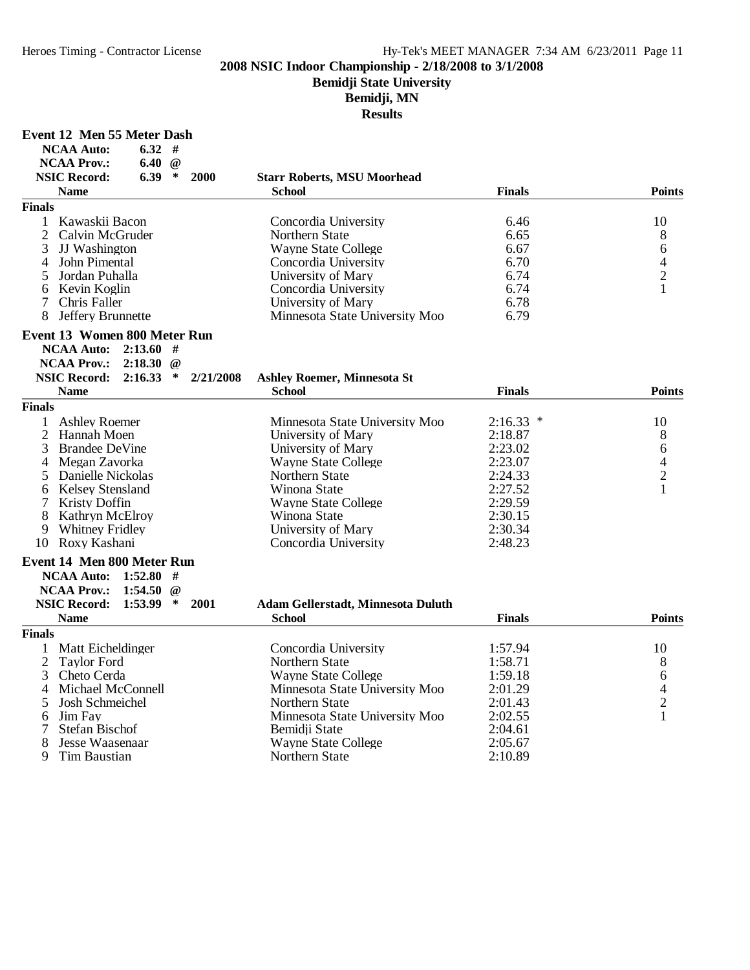# **Bemidji State University**

**Bemidji, MN**

| Event 12 Men 55 Meter Dash |  |  |  |  |
|----------------------------|--|--|--|--|
|----------------------------|--|--|--|--|

| <b>NCAA Auto:</b>                    | 6.32        | #        |           |                                           |               |                               |
|--------------------------------------|-------------|----------|-----------|-------------------------------------------|---------------|-------------------------------|
| <b>NCAA Prov.:</b>                   | 6.40        | $\omega$ |           |                                           |               |                               |
| <b>NSIC Record:</b>                  | 6.39        | $\ast$   | 2000      | <b>Starr Roberts, MSU Moorhead</b>        |               |                               |
| <b>Name</b>                          |             |          |           | <b>School</b>                             | <b>Finals</b> | <b>Points</b>                 |
| <b>Finals</b>                        |             |          |           |                                           |               |                               |
| Kawaskii Bacon<br>1                  |             |          |           | Concordia University                      | 6.46          | 10                            |
| $\overline{2}$<br>Calvin McGruder    |             |          |           | Northern State                            | 6.65          | 8                             |
| 3<br>JJ Washington                   |             |          |           | <b>Wayne State College</b>                | 6.67          |                               |
| John Pimental<br>4                   |             |          |           | Concordia University                      | 6.70          | 6<br>$\overline{\mathcal{A}}$ |
|                                      |             |          |           |                                           |               |                               |
| 5<br>Jordan Puhalla                  |             |          |           | University of Mary                        | 6.74          | $\overline{c}$                |
| Kevin Koglin<br>6                    |             |          |           | Concordia University                      | 6.74          | $\mathbf{1}$                  |
| $\tau$<br>Chris Faller               |             |          |           | University of Mary                        | 6.78          |                               |
| Jeffery Brunnette<br>8               |             |          |           | Minnesota State University Moo            | 6.79          |                               |
| <b>Event 13 Women 800 Meter Run</b>  |             |          |           |                                           |               |                               |
| <b>NCAA Auto:</b>                    | 2:13.60#    |          |           |                                           |               |                               |
| <b>NCAA Prov.:</b>                   | 2:18.30     | $\omega$ |           |                                           |               |                               |
| <b>NSIC Record:</b>                  | 2:16.33     | $\ast$   | 2/21/2008 | <b>Ashley Roemer, Minnesota St</b>        |               |                               |
| <b>Name</b>                          |             |          |           | <b>School</b>                             | <b>Finals</b> | <b>Points</b>                 |
| <b>Finals</b>                        |             |          |           |                                           |               |                               |
| <b>Ashley Roemer</b><br>$\mathbf{1}$ |             |          |           | Minnesota State University Moo            | $2:16.33$ *   | 10                            |
| 2<br>Hannah Moen                     |             |          |           | University of Mary                        | 2:18.87       | 8                             |
| 3 Brandee DeVine                     |             |          |           |                                           | 2:23.02       | 6                             |
|                                      |             |          |           | University of Mary                        |               |                               |
| 4 Megan Zavorka                      |             |          |           | <b>Wayne State College</b>                | 2:23.07       | 4                             |
| Danielle Nickolas<br>5               |             |          |           | Northern State                            | 2:24.33       | $\overline{2}$                |
| <b>Kelsey Stensland</b><br>6         |             |          |           | Winona State                              | 2:27.52       | $\mathbf{1}$                  |
| 7<br><b>Kristy Doffin</b>            |             |          |           | <b>Wayne State College</b>                | 2:29.59       |                               |
| 8<br><b>Kathryn McElroy</b>          |             |          |           | Winona State                              | 2:30.15       |                               |
| <b>Whitney Fridley</b><br>9          |             |          |           | University of Mary                        | 2:30.34       |                               |
| 10 Roxy Kashani                      |             |          |           | Concordia University                      | 2:48.23       |                               |
| Event 14 Men 800 Meter Run           |             |          |           |                                           |               |                               |
| <b>NCAA Auto:</b>                    | 1:52.80     | #        |           |                                           |               |                               |
| <b>NCAA Prov.:</b>                   | 1:54.50     | $^{\,a}$ |           |                                           |               |                               |
| <b>NSIC Record:</b>                  | $1:53.99$ * |          | 2001      | <b>Adam Gellerstadt, Minnesota Duluth</b> |               |                               |
| <b>Name</b>                          |             |          |           | School                                    | <b>Finals</b> | <b>Points</b>                 |
| <b>Finals</b>                        |             |          |           |                                           |               |                               |
| $\mathbf{1}$<br>Matt Eicheldinger    |             |          |           | Concordia University                      | 1:57.94       | 10                            |
| $\overline{c}$<br><b>Taylor Ford</b> |             |          |           | Northern State                            | 1:58.71       | 8                             |
| 3<br>Cheto Cerda                     |             |          |           | <b>Wayne State College</b>                | 1:59.18       | 6                             |
|                                      |             |          |           |                                           |               |                               |
| 4<br>Michael McConnell               |             |          |           | Minnesota State University Moo            | 2:01.29       | $\overline{4}$                |
| 5<br>Josh Schmeichel                 |             |          |           | Northern State                            | 2:01.43       | $\overline{c}$                |
| Jim Fay<br>6                         |             |          |           | Minnesota State University Moo            | 2:02.55       | $\mathbf{1}$                  |
| 7<br><b>Stefan Bischof</b>           |             |          |           | Bemidji State                             | 2:04.61       |                               |
| 8<br>Jesse Waasenaar                 |             |          |           | <b>Wayne State College</b>                | 2:05.67       |                               |
| 9<br>Tim Baustian                    |             |          |           | Northern State                            | 2:10.89       |                               |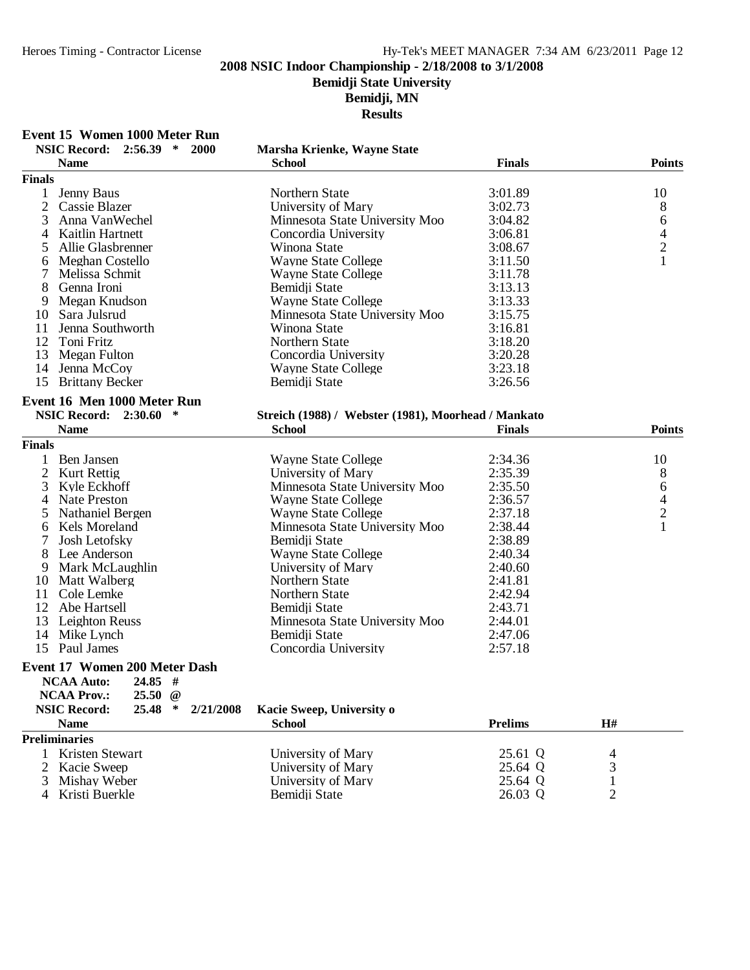# **Bemidji State University**

**Bemidji, MN**

**Results**

### **Event 15 Women 1000 Meter Run**

| <b>Finals</b><br>Jenny Baus<br>Northern State<br>3:01.89<br>10<br>1<br>2<br>8<br>Cassie Blazer<br>University of Mary<br>3:02.73<br>6<br>3<br>Anna VanWechel<br>Minnesota State University Moo<br>3:04.82<br>$\frac{4}{2}$<br>3:06.81<br>4<br>Kaitlin Hartnett<br>Concordia University<br>5<br>Allie Glasbrenner<br>Winona State<br>3:08.67<br>$\mathbf{1}$<br>Meghan Costello<br><b>Wayne State College</b><br>3:11.50<br>6<br>7<br>Melissa Schmit<br>3:11.78<br><b>Wayne State College</b><br>8<br>Genna Ironi<br>Bemidji State<br>3:13.13<br>9<br>Megan Knudson<br><b>Wayne State College</b><br>3:13.33<br>10 Sara Julsrud<br>Minnesota State University Moo<br>3:15.75<br>11<br>Jenna Southworth<br>3:16.81<br>Winona State<br>12<br>3:18.20<br>Toni Fritz<br>Northern State<br>13<br>Megan Fulton<br>Concordia University<br>3:20.28<br>Jenna McCoy<br>3:23.18<br>14<br>Wayne State College<br>15<br><b>Brittany Becker</b><br>Bemidji State<br>3:26.56<br>Event 16 Men 1000 Meter Run<br>NSIC Record: 2:30.60 *<br>Streich (1988) / Webster (1981), Moorhead / Mankato<br><b>Name</b><br><b>School</b><br><b>Finals</b><br><b>Points</b><br><b>Finals</b><br>1<br>Ben Jansen<br><b>Wayne State College</b><br>2:34.36<br>10<br>$\overline{2}$<br>8<br>Kurt Rettig<br>University of Mary<br>2:35.39<br>6<br>3<br>Minnesota State University Moo<br>2:35.50<br>Kyle Eckhoff<br>$\overline{\mathcal{A}}$<br>Nate Preston<br>2:36.57<br>4<br>Wayne State College<br>$\overline{c}$<br>2:37.18<br>5<br><b>Nathaniel Bergen</b><br><b>Wayne State College</b><br>$\mathbf{1}$<br>2:38.44<br>Kels Moreland<br>Minnesota State University Moo<br>6<br>7<br>Bemidji State<br>2:38.89<br>Josh Letofsky<br>8<br>Lee Anderson<br>2:40.34<br>Wayne State College<br>9<br>Mark McLaughlin<br>University of Mary<br>2:40.60<br>10<br>Northern State<br>2:41.81<br>Matt Walberg<br>2:42.94<br>11<br>Cole Lemke<br>Northern State<br>12<br>Abe Hartsell<br>Bemidji State<br>2:43.71<br>13<br>Leighton Reuss<br>Minnesota State University Moo<br>2:44.01<br>14<br>Mike Lynch<br>Bemidji State<br>2:47.06<br>15 Paul James<br>Concordia University<br>2:57.18<br><b>Event 17 Women 200 Meter Dash</b><br><b>NCAA Auto:</b><br>$24.85$ #<br><b>NCAA Prov.:</b><br>$25.50 \t@$<br>25.48<br><b>NSIC Record:</b><br>$\ast$<br>Kacie Sweep, University o<br>2/21/2008<br><b>Prelims</b><br>H#<br><b>Name</b><br><b>School</b><br><b>Preliminaries</b><br><b>Kristen Stewart</b><br>25.61 Q<br>University of Mary<br>1<br>4<br>$\overline{2}$<br>University of Mary<br>25.64 Q<br>3<br>Kacie Sweep<br>Mishay Weber<br>University of Mary<br>25.64 Q<br>1<br>3<br>$\mathfrak{2}$<br>Kristi Buerkle<br>26.03 Q<br>Bemidii State<br>4 | NSIC Record: 2:56.39 * 2000<br><b>Name</b> | Marsha Krienke, Wayne State<br><b>School</b> | <b>Finals</b> | <b>Points</b> |
|------------------------------------------------------------------------------------------------------------------------------------------------------------------------------------------------------------------------------------------------------------------------------------------------------------------------------------------------------------------------------------------------------------------------------------------------------------------------------------------------------------------------------------------------------------------------------------------------------------------------------------------------------------------------------------------------------------------------------------------------------------------------------------------------------------------------------------------------------------------------------------------------------------------------------------------------------------------------------------------------------------------------------------------------------------------------------------------------------------------------------------------------------------------------------------------------------------------------------------------------------------------------------------------------------------------------------------------------------------------------------------------------------------------------------------------------------------------------------------------------------------------------------------------------------------------------------------------------------------------------------------------------------------------------------------------------------------------------------------------------------------------------------------------------------------------------------------------------------------------------------------------------------------------------------------------------------------------------------------------------------------------------------------------------------------------------------------------------------------------------------------------------------------------------------------------------------------------------------------------------------------------------------------------------------------------------------------------------------------------------------------------------------------------------------------------------------------------------------------------------------------------------------------------------------------------------------------------------------------------------------------------------------------------------------------------------------------------|--------------------------------------------|----------------------------------------------|---------------|---------------|
|                                                                                                                                                                                                                                                                                                                                                                                                                                                                                                                                                                                                                                                                                                                                                                                                                                                                                                                                                                                                                                                                                                                                                                                                                                                                                                                                                                                                                                                                                                                                                                                                                                                                                                                                                                                                                                                                                                                                                                                                                                                                                                                                                                                                                                                                                                                                                                                                                                                                                                                                                                                                                                                                                                                  |                                            |                                              |               |               |
|                                                                                                                                                                                                                                                                                                                                                                                                                                                                                                                                                                                                                                                                                                                                                                                                                                                                                                                                                                                                                                                                                                                                                                                                                                                                                                                                                                                                                                                                                                                                                                                                                                                                                                                                                                                                                                                                                                                                                                                                                                                                                                                                                                                                                                                                                                                                                                                                                                                                                                                                                                                                                                                                                                                  |                                            |                                              |               |               |
|                                                                                                                                                                                                                                                                                                                                                                                                                                                                                                                                                                                                                                                                                                                                                                                                                                                                                                                                                                                                                                                                                                                                                                                                                                                                                                                                                                                                                                                                                                                                                                                                                                                                                                                                                                                                                                                                                                                                                                                                                                                                                                                                                                                                                                                                                                                                                                                                                                                                                                                                                                                                                                                                                                                  |                                            |                                              |               |               |
|                                                                                                                                                                                                                                                                                                                                                                                                                                                                                                                                                                                                                                                                                                                                                                                                                                                                                                                                                                                                                                                                                                                                                                                                                                                                                                                                                                                                                                                                                                                                                                                                                                                                                                                                                                                                                                                                                                                                                                                                                                                                                                                                                                                                                                                                                                                                                                                                                                                                                                                                                                                                                                                                                                                  |                                            |                                              |               |               |
|                                                                                                                                                                                                                                                                                                                                                                                                                                                                                                                                                                                                                                                                                                                                                                                                                                                                                                                                                                                                                                                                                                                                                                                                                                                                                                                                                                                                                                                                                                                                                                                                                                                                                                                                                                                                                                                                                                                                                                                                                                                                                                                                                                                                                                                                                                                                                                                                                                                                                                                                                                                                                                                                                                                  |                                            |                                              |               |               |
|                                                                                                                                                                                                                                                                                                                                                                                                                                                                                                                                                                                                                                                                                                                                                                                                                                                                                                                                                                                                                                                                                                                                                                                                                                                                                                                                                                                                                                                                                                                                                                                                                                                                                                                                                                                                                                                                                                                                                                                                                                                                                                                                                                                                                                                                                                                                                                                                                                                                                                                                                                                                                                                                                                                  |                                            |                                              |               |               |
|                                                                                                                                                                                                                                                                                                                                                                                                                                                                                                                                                                                                                                                                                                                                                                                                                                                                                                                                                                                                                                                                                                                                                                                                                                                                                                                                                                                                                                                                                                                                                                                                                                                                                                                                                                                                                                                                                                                                                                                                                                                                                                                                                                                                                                                                                                                                                                                                                                                                                                                                                                                                                                                                                                                  |                                            |                                              |               |               |
|                                                                                                                                                                                                                                                                                                                                                                                                                                                                                                                                                                                                                                                                                                                                                                                                                                                                                                                                                                                                                                                                                                                                                                                                                                                                                                                                                                                                                                                                                                                                                                                                                                                                                                                                                                                                                                                                                                                                                                                                                                                                                                                                                                                                                                                                                                                                                                                                                                                                                                                                                                                                                                                                                                                  |                                            |                                              |               |               |
|                                                                                                                                                                                                                                                                                                                                                                                                                                                                                                                                                                                                                                                                                                                                                                                                                                                                                                                                                                                                                                                                                                                                                                                                                                                                                                                                                                                                                                                                                                                                                                                                                                                                                                                                                                                                                                                                                                                                                                                                                                                                                                                                                                                                                                                                                                                                                                                                                                                                                                                                                                                                                                                                                                                  |                                            |                                              |               |               |
|                                                                                                                                                                                                                                                                                                                                                                                                                                                                                                                                                                                                                                                                                                                                                                                                                                                                                                                                                                                                                                                                                                                                                                                                                                                                                                                                                                                                                                                                                                                                                                                                                                                                                                                                                                                                                                                                                                                                                                                                                                                                                                                                                                                                                                                                                                                                                                                                                                                                                                                                                                                                                                                                                                                  |                                            |                                              |               |               |
|                                                                                                                                                                                                                                                                                                                                                                                                                                                                                                                                                                                                                                                                                                                                                                                                                                                                                                                                                                                                                                                                                                                                                                                                                                                                                                                                                                                                                                                                                                                                                                                                                                                                                                                                                                                                                                                                                                                                                                                                                                                                                                                                                                                                                                                                                                                                                                                                                                                                                                                                                                                                                                                                                                                  |                                            |                                              |               |               |
|                                                                                                                                                                                                                                                                                                                                                                                                                                                                                                                                                                                                                                                                                                                                                                                                                                                                                                                                                                                                                                                                                                                                                                                                                                                                                                                                                                                                                                                                                                                                                                                                                                                                                                                                                                                                                                                                                                                                                                                                                                                                                                                                                                                                                                                                                                                                                                                                                                                                                                                                                                                                                                                                                                                  |                                            |                                              |               |               |
|                                                                                                                                                                                                                                                                                                                                                                                                                                                                                                                                                                                                                                                                                                                                                                                                                                                                                                                                                                                                                                                                                                                                                                                                                                                                                                                                                                                                                                                                                                                                                                                                                                                                                                                                                                                                                                                                                                                                                                                                                                                                                                                                                                                                                                                                                                                                                                                                                                                                                                                                                                                                                                                                                                                  |                                            |                                              |               |               |
|                                                                                                                                                                                                                                                                                                                                                                                                                                                                                                                                                                                                                                                                                                                                                                                                                                                                                                                                                                                                                                                                                                                                                                                                                                                                                                                                                                                                                                                                                                                                                                                                                                                                                                                                                                                                                                                                                                                                                                                                                                                                                                                                                                                                                                                                                                                                                                                                                                                                                                                                                                                                                                                                                                                  |                                            |                                              |               |               |
|                                                                                                                                                                                                                                                                                                                                                                                                                                                                                                                                                                                                                                                                                                                                                                                                                                                                                                                                                                                                                                                                                                                                                                                                                                                                                                                                                                                                                                                                                                                                                                                                                                                                                                                                                                                                                                                                                                                                                                                                                                                                                                                                                                                                                                                                                                                                                                                                                                                                                                                                                                                                                                                                                                                  |                                            |                                              |               |               |
|                                                                                                                                                                                                                                                                                                                                                                                                                                                                                                                                                                                                                                                                                                                                                                                                                                                                                                                                                                                                                                                                                                                                                                                                                                                                                                                                                                                                                                                                                                                                                                                                                                                                                                                                                                                                                                                                                                                                                                                                                                                                                                                                                                                                                                                                                                                                                                                                                                                                                                                                                                                                                                                                                                                  |                                            |                                              |               |               |
|                                                                                                                                                                                                                                                                                                                                                                                                                                                                                                                                                                                                                                                                                                                                                                                                                                                                                                                                                                                                                                                                                                                                                                                                                                                                                                                                                                                                                                                                                                                                                                                                                                                                                                                                                                                                                                                                                                                                                                                                                                                                                                                                                                                                                                                                                                                                                                                                                                                                                                                                                                                                                                                                                                                  |                                            |                                              |               |               |
|                                                                                                                                                                                                                                                                                                                                                                                                                                                                                                                                                                                                                                                                                                                                                                                                                                                                                                                                                                                                                                                                                                                                                                                                                                                                                                                                                                                                                                                                                                                                                                                                                                                                                                                                                                                                                                                                                                                                                                                                                                                                                                                                                                                                                                                                                                                                                                                                                                                                                                                                                                                                                                                                                                                  |                                            |                                              |               |               |
|                                                                                                                                                                                                                                                                                                                                                                                                                                                                                                                                                                                                                                                                                                                                                                                                                                                                                                                                                                                                                                                                                                                                                                                                                                                                                                                                                                                                                                                                                                                                                                                                                                                                                                                                                                                                                                                                                                                                                                                                                                                                                                                                                                                                                                                                                                                                                                                                                                                                                                                                                                                                                                                                                                                  |                                            |                                              |               |               |
|                                                                                                                                                                                                                                                                                                                                                                                                                                                                                                                                                                                                                                                                                                                                                                                                                                                                                                                                                                                                                                                                                                                                                                                                                                                                                                                                                                                                                                                                                                                                                                                                                                                                                                                                                                                                                                                                                                                                                                                                                                                                                                                                                                                                                                                                                                                                                                                                                                                                                                                                                                                                                                                                                                                  |                                            |                                              |               |               |
|                                                                                                                                                                                                                                                                                                                                                                                                                                                                                                                                                                                                                                                                                                                                                                                                                                                                                                                                                                                                                                                                                                                                                                                                                                                                                                                                                                                                                                                                                                                                                                                                                                                                                                                                                                                                                                                                                                                                                                                                                                                                                                                                                                                                                                                                                                                                                                                                                                                                                                                                                                                                                                                                                                                  |                                            |                                              |               |               |
|                                                                                                                                                                                                                                                                                                                                                                                                                                                                                                                                                                                                                                                                                                                                                                                                                                                                                                                                                                                                                                                                                                                                                                                                                                                                                                                                                                                                                                                                                                                                                                                                                                                                                                                                                                                                                                                                                                                                                                                                                                                                                                                                                                                                                                                                                                                                                                                                                                                                                                                                                                                                                                                                                                                  |                                            |                                              |               |               |
|                                                                                                                                                                                                                                                                                                                                                                                                                                                                                                                                                                                                                                                                                                                                                                                                                                                                                                                                                                                                                                                                                                                                                                                                                                                                                                                                                                                                                                                                                                                                                                                                                                                                                                                                                                                                                                                                                                                                                                                                                                                                                                                                                                                                                                                                                                                                                                                                                                                                                                                                                                                                                                                                                                                  |                                            |                                              |               |               |
|                                                                                                                                                                                                                                                                                                                                                                                                                                                                                                                                                                                                                                                                                                                                                                                                                                                                                                                                                                                                                                                                                                                                                                                                                                                                                                                                                                                                                                                                                                                                                                                                                                                                                                                                                                                                                                                                                                                                                                                                                                                                                                                                                                                                                                                                                                                                                                                                                                                                                                                                                                                                                                                                                                                  |                                            |                                              |               |               |
|                                                                                                                                                                                                                                                                                                                                                                                                                                                                                                                                                                                                                                                                                                                                                                                                                                                                                                                                                                                                                                                                                                                                                                                                                                                                                                                                                                                                                                                                                                                                                                                                                                                                                                                                                                                                                                                                                                                                                                                                                                                                                                                                                                                                                                                                                                                                                                                                                                                                                                                                                                                                                                                                                                                  |                                            |                                              |               |               |
|                                                                                                                                                                                                                                                                                                                                                                                                                                                                                                                                                                                                                                                                                                                                                                                                                                                                                                                                                                                                                                                                                                                                                                                                                                                                                                                                                                                                                                                                                                                                                                                                                                                                                                                                                                                                                                                                                                                                                                                                                                                                                                                                                                                                                                                                                                                                                                                                                                                                                                                                                                                                                                                                                                                  |                                            |                                              |               |               |
|                                                                                                                                                                                                                                                                                                                                                                                                                                                                                                                                                                                                                                                                                                                                                                                                                                                                                                                                                                                                                                                                                                                                                                                                                                                                                                                                                                                                                                                                                                                                                                                                                                                                                                                                                                                                                                                                                                                                                                                                                                                                                                                                                                                                                                                                                                                                                                                                                                                                                                                                                                                                                                                                                                                  |                                            |                                              |               |               |
|                                                                                                                                                                                                                                                                                                                                                                                                                                                                                                                                                                                                                                                                                                                                                                                                                                                                                                                                                                                                                                                                                                                                                                                                                                                                                                                                                                                                                                                                                                                                                                                                                                                                                                                                                                                                                                                                                                                                                                                                                                                                                                                                                                                                                                                                                                                                                                                                                                                                                                                                                                                                                                                                                                                  |                                            |                                              |               |               |
|                                                                                                                                                                                                                                                                                                                                                                                                                                                                                                                                                                                                                                                                                                                                                                                                                                                                                                                                                                                                                                                                                                                                                                                                                                                                                                                                                                                                                                                                                                                                                                                                                                                                                                                                                                                                                                                                                                                                                                                                                                                                                                                                                                                                                                                                                                                                                                                                                                                                                                                                                                                                                                                                                                                  |                                            |                                              |               |               |
|                                                                                                                                                                                                                                                                                                                                                                                                                                                                                                                                                                                                                                                                                                                                                                                                                                                                                                                                                                                                                                                                                                                                                                                                                                                                                                                                                                                                                                                                                                                                                                                                                                                                                                                                                                                                                                                                                                                                                                                                                                                                                                                                                                                                                                                                                                                                                                                                                                                                                                                                                                                                                                                                                                                  |                                            |                                              |               |               |
|                                                                                                                                                                                                                                                                                                                                                                                                                                                                                                                                                                                                                                                                                                                                                                                                                                                                                                                                                                                                                                                                                                                                                                                                                                                                                                                                                                                                                                                                                                                                                                                                                                                                                                                                                                                                                                                                                                                                                                                                                                                                                                                                                                                                                                                                                                                                                                                                                                                                                                                                                                                                                                                                                                                  |                                            |                                              |               |               |
|                                                                                                                                                                                                                                                                                                                                                                                                                                                                                                                                                                                                                                                                                                                                                                                                                                                                                                                                                                                                                                                                                                                                                                                                                                                                                                                                                                                                                                                                                                                                                                                                                                                                                                                                                                                                                                                                                                                                                                                                                                                                                                                                                                                                                                                                                                                                                                                                                                                                                                                                                                                                                                                                                                                  |                                            |                                              |               |               |
|                                                                                                                                                                                                                                                                                                                                                                                                                                                                                                                                                                                                                                                                                                                                                                                                                                                                                                                                                                                                                                                                                                                                                                                                                                                                                                                                                                                                                                                                                                                                                                                                                                                                                                                                                                                                                                                                                                                                                                                                                                                                                                                                                                                                                                                                                                                                                                                                                                                                                                                                                                                                                                                                                                                  |                                            |                                              |               |               |
|                                                                                                                                                                                                                                                                                                                                                                                                                                                                                                                                                                                                                                                                                                                                                                                                                                                                                                                                                                                                                                                                                                                                                                                                                                                                                                                                                                                                                                                                                                                                                                                                                                                                                                                                                                                                                                                                                                                                                                                                                                                                                                                                                                                                                                                                                                                                                                                                                                                                                                                                                                                                                                                                                                                  |                                            |                                              |               |               |
|                                                                                                                                                                                                                                                                                                                                                                                                                                                                                                                                                                                                                                                                                                                                                                                                                                                                                                                                                                                                                                                                                                                                                                                                                                                                                                                                                                                                                                                                                                                                                                                                                                                                                                                                                                                                                                                                                                                                                                                                                                                                                                                                                                                                                                                                                                                                                                                                                                                                                                                                                                                                                                                                                                                  |                                            |                                              |               |               |
|                                                                                                                                                                                                                                                                                                                                                                                                                                                                                                                                                                                                                                                                                                                                                                                                                                                                                                                                                                                                                                                                                                                                                                                                                                                                                                                                                                                                                                                                                                                                                                                                                                                                                                                                                                                                                                                                                                                                                                                                                                                                                                                                                                                                                                                                                                                                                                                                                                                                                                                                                                                                                                                                                                                  |                                            |                                              |               |               |
|                                                                                                                                                                                                                                                                                                                                                                                                                                                                                                                                                                                                                                                                                                                                                                                                                                                                                                                                                                                                                                                                                                                                                                                                                                                                                                                                                                                                                                                                                                                                                                                                                                                                                                                                                                                                                                                                                                                                                                                                                                                                                                                                                                                                                                                                                                                                                                                                                                                                                                                                                                                                                                                                                                                  |                                            |                                              |               |               |
|                                                                                                                                                                                                                                                                                                                                                                                                                                                                                                                                                                                                                                                                                                                                                                                                                                                                                                                                                                                                                                                                                                                                                                                                                                                                                                                                                                                                                                                                                                                                                                                                                                                                                                                                                                                                                                                                                                                                                                                                                                                                                                                                                                                                                                                                                                                                                                                                                                                                                                                                                                                                                                                                                                                  |                                            |                                              |               |               |
|                                                                                                                                                                                                                                                                                                                                                                                                                                                                                                                                                                                                                                                                                                                                                                                                                                                                                                                                                                                                                                                                                                                                                                                                                                                                                                                                                                                                                                                                                                                                                                                                                                                                                                                                                                                                                                                                                                                                                                                                                                                                                                                                                                                                                                                                                                                                                                                                                                                                                                                                                                                                                                                                                                                  |                                            |                                              |               |               |
|                                                                                                                                                                                                                                                                                                                                                                                                                                                                                                                                                                                                                                                                                                                                                                                                                                                                                                                                                                                                                                                                                                                                                                                                                                                                                                                                                                                                                                                                                                                                                                                                                                                                                                                                                                                                                                                                                                                                                                                                                                                                                                                                                                                                                                                                                                                                                                                                                                                                                                                                                                                                                                                                                                                  |                                            |                                              |               |               |
|                                                                                                                                                                                                                                                                                                                                                                                                                                                                                                                                                                                                                                                                                                                                                                                                                                                                                                                                                                                                                                                                                                                                                                                                                                                                                                                                                                                                                                                                                                                                                                                                                                                                                                                                                                                                                                                                                                                                                                                                                                                                                                                                                                                                                                                                                                                                                                                                                                                                                                                                                                                                                                                                                                                  |                                            |                                              |               |               |
|                                                                                                                                                                                                                                                                                                                                                                                                                                                                                                                                                                                                                                                                                                                                                                                                                                                                                                                                                                                                                                                                                                                                                                                                                                                                                                                                                                                                                                                                                                                                                                                                                                                                                                                                                                                                                                                                                                                                                                                                                                                                                                                                                                                                                                                                                                                                                                                                                                                                                                                                                                                                                                                                                                                  |                                            |                                              |               |               |
|                                                                                                                                                                                                                                                                                                                                                                                                                                                                                                                                                                                                                                                                                                                                                                                                                                                                                                                                                                                                                                                                                                                                                                                                                                                                                                                                                                                                                                                                                                                                                                                                                                                                                                                                                                                                                                                                                                                                                                                                                                                                                                                                                                                                                                                                                                                                                                                                                                                                                                                                                                                                                                                                                                                  |                                            |                                              |               |               |
|                                                                                                                                                                                                                                                                                                                                                                                                                                                                                                                                                                                                                                                                                                                                                                                                                                                                                                                                                                                                                                                                                                                                                                                                                                                                                                                                                                                                                                                                                                                                                                                                                                                                                                                                                                                                                                                                                                                                                                                                                                                                                                                                                                                                                                                                                                                                                                                                                                                                                                                                                                                                                                                                                                                  |                                            |                                              |               |               |
|                                                                                                                                                                                                                                                                                                                                                                                                                                                                                                                                                                                                                                                                                                                                                                                                                                                                                                                                                                                                                                                                                                                                                                                                                                                                                                                                                                                                                                                                                                                                                                                                                                                                                                                                                                                                                                                                                                                                                                                                                                                                                                                                                                                                                                                                                                                                                                                                                                                                                                                                                                                                                                                                                                                  |                                            |                                              |               |               |
|                                                                                                                                                                                                                                                                                                                                                                                                                                                                                                                                                                                                                                                                                                                                                                                                                                                                                                                                                                                                                                                                                                                                                                                                                                                                                                                                                                                                                                                                                                                                                                                                                                                                                                                                                                                                                                                                                                                                                                                                                                                                                                                                                                                                                                                                                                                                                                                                                                                                                                                                                                                                                                                                                                                  |                                            |                                              |               |               |
|                                                                                                                                                                                                                                                                                                                                                                                                                                                                                                                                                                                                                                                                                                                                                                                                                                                                                                                                                                                                                                                                                                                                                                                                                                                                                                                                                                                                                                                                                                                                                                                                                                                                                                                                                                                                                                                                                                                                                                                                                                                                                                                                                                                                                                                                                                                                                                                                                                                                                                                                                                                                                                                                                                                  |                                            |                                              |               |               |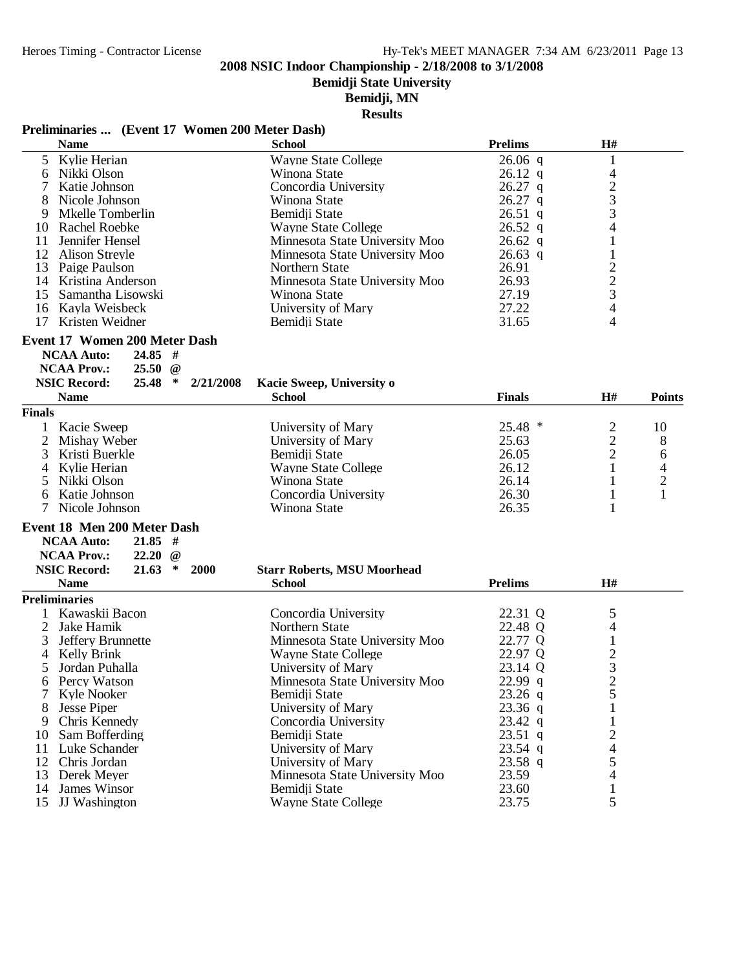**Bemidji State University**

#### **Bemidji, MN**

**Results**

#### **Preliminaries ... (Event 17 Women 200 Meter Dash)**

|               | <b>Name</b>                                           | <b>School</b>                      | <b>Prelims</b> | H#                       |                         |
|---------------|-------------------------------------------------------|------------------------------------|----------------|--------------------------|-------------------------|
|               | 5 Kylie Herian                                        | <b>Wayne State College</b>         | $26.06$ q      |                          |                         |
|               | 6 Nikki Olson                                         | Winona State                       | $26.12$ q      | $\overline{\mathcal{L}}$ |                         |
|               | Katie Johnson                                         | Concordia University               | $26.27$ q      |                          |                         |
|               | Nicole Johnson                                        | Winona State                       | $26.27$ q      | $\frac{2}{3}$            |                         |
| 9             | Mkelle Tomberlin                                      | Bemidii State                      | $26.51$ q      |                          |                         |
| 10            | <b>Rachel Roebke</b>                                  | <b>Wayne State College</b>         | $26.52$ q      | 4                        |                         |
| 11            | Jennifer Hensel                                       | Minnesota State University Moo     | $26.62$ q      | 1                        |                         |
|               | 12 Alison Streyle                                     | Minnesota State University Moo     | $26.63$ q      |                          |                         |
|               | 13 Paige Paulson                                      | Northern State                     | 26.91          |                          |                         |
|               | 14 Kristina Anderson                                  | Minnesota State University Moo     | 26.93          |                          |                         |
|               | Samantha Lisowski                                     |                                    | 27.19          | $\frac{2}{3}$            |                         |
| 15            |                                                       | Winona State                       |                |                          |                         |
|               | 16 Kayla Weisbeck                                     | University of Mary                 | 27.22          | 4                        |                         |
|               | 17 Kristen Weidner                                    | Bemidji State                      | 31.65          | 4                        |                         |
|               | Event 17 Women 200 Meter Dash                         |                                    |                |                          |                         |
|               | <b>NCAA Auto:</b><br>$24.85$ #                        |                                    |                |                          |                         |
|               | <b>NCAA Prov.:</b><br>$25.50 \; \; \textcircled{a}$   |                                    |                |                          |                         |
|               | <b>NSIC Record:</b><br>$25.48$ *<br>2/21/2008         | Kacie Sweep, University o          |                |                          |                         |
|               | <b>Name</b>                                           | <b>School</b>                      | <b>Finals</b>  | H#                       | <b>Points</b>           |
| <b>Finals</b> |                                                       |                                    |                |                          |                         |
|               | Kacie Sweep                                           | University of Mary                 | 25.48 *        | $\overline{2}$           | 10                      |
| 2             | Mishay Weber                                          | University of Mary                 | 25.63          | $\overline{c}$           | 8                       |
| 3             | Kristi Buerkle                                        | Bemidii State                      | 26.05          | $\overline{c}$           | 6                       |
| 4             | Kylie Herian                                          | <b>Wayne State College</b>         | 26.12          | $\mathbf{1}$             | 4                       |
|               | Nikki Olson                                           | Winona State                       | 26.14          | 1                        | $\overline{\mathbf{c}}$ |
| 6             | Katie Johnson                                         | Concordia University               | 26.30          | $\mathbf{1}$             | $\mathbf{1}$            |
|               | Nicole Johnson                                        | Winona State                       | 26.35          | 1                        |                         |
|               | Event 18 Men 200 Meter Dash                           |                                    |                |                          |                         |
|               | <b>NCAA Auto:</b><br>$21.85$ #                        |                                    |                |                          |                         |
|               | <b>NCAA Prov.:</b><br>22.20<br>$\omega$               |                                    |                |                          |                         |
|               | <b>NSIC Record:</b><br>21.63<br>$\ast$<br><b>2000</b> | <b>Starr Roberts, MSU Moorhead</b> |                |                          |                         |
|               | <b>Name</b>                                           | <b>School</b>                      | <b>Prelims</b> | H#                       |                         |
|               |                                                       |                                    |                |                          |                         |
|               | <b>Preliminaries</b>                                  |                                    |                |                          |                         |
|               | 1 Kawaskii Bacon                                      | Concordia University               | 22.31 Q        | 5                        |                         |
| 2             | Jake Hamik                                            | Northern State                     | 22.48 Q        | $\overline{4}$           |                         |
| 3             | Jeffery Brunnette                                     | Minnesota State University Moo     | 22.77 Q        | $\mathbf{1}$             |                         |
| 4             | Kelly Brink                                           | <b>Wayne State College</b>         | 22.97 Q        | $\frac{2}{3}$            |                         |
| 5             | Jordan Puhalla                                        | University of Mary                 | 23.14 Q        |                          |                         |
|               | 6 Percy Watson                                        | Minnesota State University Moo     | 22.99 q        | $\overline{2}$           |                         |
|               | Kyle Nooker                                           | Bemidji State                      | $23.26$ q      | 5                        |                         |
|               | <b>Jesse Piper</b>                                    | University of Mary                 | $23.36$ q      |                          |                         |
| 9             | Chris Kennedy                                         | Concordia University               | 23.42 q        |                          |                         |
| 10            | Sam Bofferding                                        | Bemidii State                      | $23.51$ q      | $\overline{\mathbf{c}}$  |                         |
| 11            | Luke Schander                                         | University of Mary                 | 23.54 q        | 4                        |                         |
|               | 12 Chris Jordan                                       | University of Mary                 | 23.58 q        | 5                        |                         |
| 13            | Derek Meyer                                           | Minnesota State University Moo     | 23.59          | 4                        |                         |
| 14            | James Winsor                                          | Bemidji State                      | 23.60          | 1                        |                         |
| 15            | JJ Washington                                         | <b>Wayne State College</b>         | 23.75          | 5                        |                         |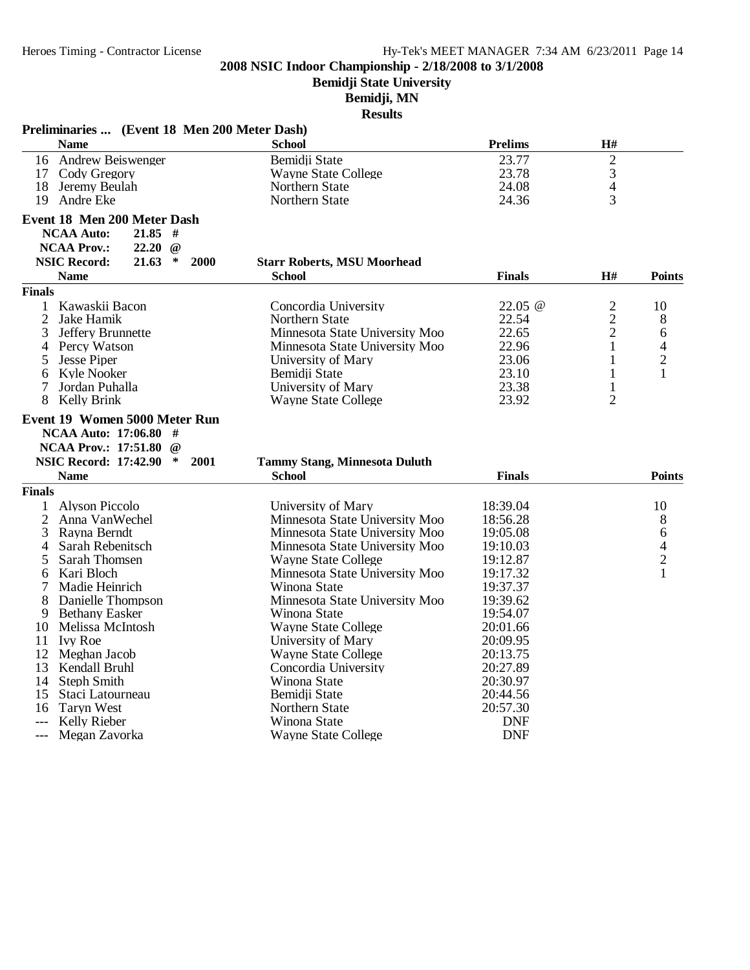**Bemidji State University**

# **Bemidji, MN**

|               | Preliminaries  (Event 18 Men 200 Meter Dash)                                                                     |                                                       |                |                |                |
|---------------|------------------------------------------------------------------------------------------------------------------|-------------------------------------------------------|----------------|----------------|----------------|
|               | <b>Name</b>                                                                                                      | <b>School</b>                                         | <b>Prelims</b> | $\mathbf{H}$ # |                |
|               | 16 Andrew Beiswenger                                                                                             | Bemidji State                                         | 23.77          | $\mathbf{2}$   |                |
|               | 17 Cody Gregory                                                                                                  | <b>Wayne State College</b>                            | 23.78          | 3              |                |
|               | 18 Jeremy Beulah                                                                                                 | Northern State                                        | 24.08          | $\overline{4}$ |                |
|               | 19 Andre Eke                                                                                                     | Northern State                                        | 24.36          | 3              |                |
|               | Event 18 Men 200 Meter Dash                                                                                      |                                                       |                |                |                |
|               | <b>NCAA Auto:</b><br>$21.85$ #                                                                                   |                                                       |                |                |                |
|               | <b>NCAA Prov.:</b><br>$22.20 \text{ } @$                                                                         |                                                       |                |                |                |
|               | <b>NSIC Record:</b><br>21.63<br>$\ast$<br><b>2000</b>                                                            | <b>Starr Roberts, MSU Moorhead</b>                    |                |                |                |
|               | <b>Name</b>                                                                                                      | <b>School</b>                                         | <b>Finals</b>  | H#             | <b>Points</b>  |
| <b>Finals</b> |                                                                                                                  |                                                       |                |                |                |
|               | 1 Kawaskii Bacon                                                                                                 | Concordia University                                  | 22.05 @        | $\overline{c}$ | 10             |
|               | 2 Jake Hamik                                                                                                     | Northern State                                        | 22.54          | $\overline{c}$ | 8              |
| 3             | Jeffery Brunnette                                                                                                | Minnesota State University Moo                        | 22.65          | $\overline{c}$ | 6              |
|               | 4 Percy Watson                                                                                                   | Minnesota State University Moo                        | 22.96          | $\mathbf{1}$   | 4              |
| 5             | <b>Jesse Piper</b>                                                                                               | University of Mary                                    | 23.06          | 1              | $\overline{c}$ |
| 6             | Kyle Nooker                                                                                                      | Bemidii State                                         | 23.10          | 1              | 1              |
| 7             | Jordan Puhalla                                                                                                   | University of Mary                                    | 23.38          | 1              |                |
|               | 8 Kelly Brink                                                                                                    | <b>Wayne State College</b>                            | 23.92          | $\overline{2}$ |                |
|               | NCAA Auto: 17:06.80 #<br>NCAA Prov.: 17:51.80 @<br><b>NSIC Record: 17:42.90</b><br>$\ast$<br>2001<br><b>Name</b> | <b>Tammy Stang, Minnesota Duluth</b><br><b>School</b> | <b>Finals</b>  |                | <b>Points</b>  |
| <b>Finals</b> |                                                                                                                  |                                                       |                |                |                |
| $\mathbf{1}$  | <b>Alyson Piccolo</b>                                                                                            | University of Mary                                    | 18:39.04       |                | 10             |
|               | Anna VanWechel                                                                                                   | Minnesota State University Moo                        | 18:56.28       |                | 8              |
|               | 3 Rayna Berndt                                                                                                   | Minnesota State University Moo                        | 19:05.08       |                | 6              |
| 4             | Sarah Rebenitsch                                                                                                 | Minnesota State University Moo                        | 19:10.03       |                | 4              |
| 5             | Sarah Thomsen                                                                                                    | <b>Wayne State College</b>                            | 19:12.87       |                | $\overline{c}$ |
| 6             | Kari Bloch                                                                                                       | Minnesota State University Moo                        | 19:17.32       |                | $\mathbf{1}$   |
| 7             | Madie Heinrich                                                                                                   | Winona State                                          | 19:37.37       |                |                |
| 8             | Danielle Thompson                                                                                                | Minnesota State University Moo                        | 19:39.62       |                |                |
|               | 9 Bethany Easker                                                                                                 | Winona State                                          | 19:54.07       |                |                |
|               | 10 Melissa McIntosh                                                                                              | <b>Wayne State College</b>                            | 20:01.66       |                |                |
|               | 11 Ivy Roe                                                                                                       | University of Mary                                    | 20:09.95       |                |                |
|               | 12 Meghan Jacob                                                                                                  | <b>Wayne State College</b>                            | 20:13.75       |                |                |
|               | 13 Kendall Bruhl                                                                                                 | Concordia University                                  | 20:27.89       |                |                |
|               | 14 Steph Smith                                                                                                   | Winona State                                          | 20:30.97       |                |                |
|               | 15 Staci Latourneau                                                                                              | Bemidji State                                         | 20:44.56       |                |                |
|               | 16 Taryn West                                                                                                    | Northern State                                        | 20:57.30       |                |                |
| $---$         | Kelly Rieber                                                                                                     | Winona State                                          | <b>DNF</b>     |                |                |
| $---$         | Megan Zavorka                                                                                                    | <b>Wayne State College</b>                            | <b>DNF</b>     |                |                |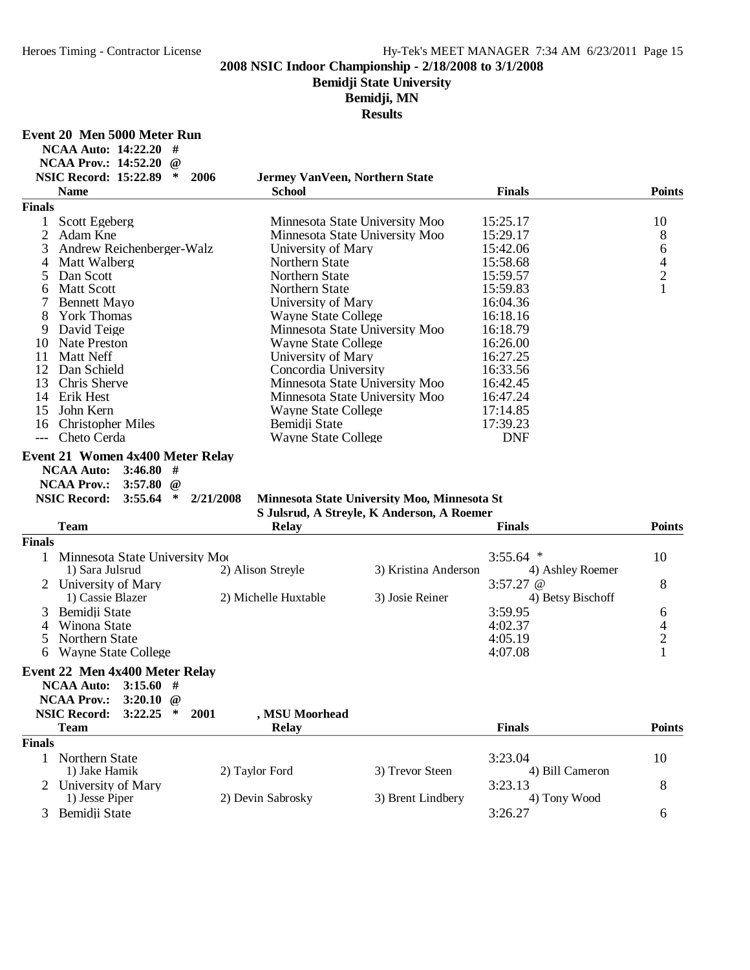# **Bemidji State University**

**Bemidji, MN**

| Event 20 Men 5000 Meter Run |  |  |  |  |
|-----------------------------|--|--|--|--|
|-----------------------------|--|--|--|--|

|                | <b>NCAA Auto: 14:22.20</b><br>#                         |                                        |                                                                                            |                   |                                            |
|----------------|---------------------------------------------------------|----------------------------------------|--------------------------------------------------------------------------------------------|-------------------|--------------------------------------------|
|                | <b>NCAA Prov.: 14:52.20</b><br>$\omega$                 |                                        |                                                                                            |                   |                                            |
|                | <b>NSIC Record: 15:22.89</b><br>∗                       | 2006<br>Jermey VanVeen, Northern State |                                                                                            |                   |                                            |
|                | <b>Name</b>                                             | <b>School</b>                          |                                                                                            | <b>Finals</b>     | <b>Points</b>                              |
| <b>Finals</b>  |                                                         |                                        |                                                                                            |                   |                                            |
| $\mathbf{1}$   | Scott Egeberg                                           |                                        | Minnesota State University Moo                                                             | 15:25.17          | 10                                         |
| $\overline{2}$ | Adam Kne                                                |                                        | Minnesota State University Moo                                                             | 15:29.17          | $8\,$                                      |
| 3              | Andrew Reichenberger-Walz                               | University of Mary                     |                                                                                            | 15:42.06          | 6                                          |
| 4              | Matt Walberg                                            | Northern State                         |                                                                                            | 15:58.68          | $\frac{4}{2}$                              |
| 5              | Dan Scott                                               | Northern State                         |                                                                                            | 15:59.57          |                                            |
| 6              | <b>Matt Scott</b>                                       | Northern State                         |                                                                                            | 15:59.83          | $\mathbf{1}$                               |
| 7              | <b>Bennett Mayo</b>                                     | University of Mary                     |                                                                                            | 16:04.36          |                                            |
| 8              | <b>York Thomas</b>                                      | <b>Wayne State College</b>             |                                                                                            | 16:18.16          |                                            |
| 9              | David Teige                                             |                                        | Minnesota State University Moo                                                             | 16:18.79          |                                            |
| 10             | <b>Nate Preston</b>                                     | <b>Wayne State College</b>             |                                                                                            | 16:26.00          |                                            |
| 11             | <b>Matt Neff</b>                                        | University of Mary                     |                                                                                            | 16:27.25          |                                            |
| 12             | Dan Schield                                             | Concordia University                   |                                                                                            | 16:33.56          |                                            |
| 13             | Chris Sherve                                            |                                        | Minnesota State University Moo                                                             | 16:42.45          |                                            |
| 14             | Erik Hest                                               |                                        | Minnesota State University Moo                                                             | 16:47.24          |                                            |
| 15             | John Kern                                               | <b>Wayne State College</b>             |                                                                                            | 17:14.85          |                                            |
| 16             | <b>Christopher Miles</b>                                | Bemidji State                          |                                                                                            | 17:39.23          |                                            |
| $---$          | Cheto Cerda                                             | <b>Wayne State College</b>             |                                                                                            | <b>DNF</b>        |                                            |
|                | <b>NSIC Record:</b><br>$\ast$<br>3:55.64<br><b>Team</b> | 2/21/2008<br><b>Relay</b>              | Minnesota State University Moo, Minnesota St<br>S Julsrud, A Streyle, K Anderson, A Roemer | <b>Finals</b>     | <b>Points</b>                              |
| <b>Finals</b>  |                                                         |                                        |                                                                                            |                   |                                            |
| 1              | Minnesota State University Moo                          |                                        |                                                                                            | $3:55.64$ *       | 10                                         |
|                | 1) Sara Julsrud                                         | 2) Alison Streyle                      | 3) Kristina Anderson                                                                       | 4) Ashley Roemer  |                                            |
|                | 2 University of Mary                                    |                                        |                                                                                            | 3:57.27 $@$       | 8                                          |
|                | 1) Cassie Blazer                                        | 2) Michelle Huxtable                   | 3) Josie Reiner                                                                            | 4) Betsy Bischoff |                                            |
| 3              | Bemidji State                                           |                                        |                                                                                            | 3:59.95           | 6                                          |
| 4              | Winona State                                            |                                        |                                                                                            | 4:02.37           |                                            |
| 5              | Northern State                                          |                                        |                                                                                            | 4:05.19           |                                            |
| 6              | <b>Wayne State College</b>                              |                                        |                                                                                            | 4:07.08           | $\begin{array}{c} 4 \\ 2 \\ 1 \end{array}$ |
|                |                                                         |                                        |                                                                                            |                   |                                            |
|                | Event 22 Men 4x400 Meter Relay                          |                                        |                                                                                            |                   |                                            |
|                | <b>NCAA Auto:</b> 3:15.60 #                             |                                        |                                                                                            |                   |                                            |
|                | <b>NCAA Prov.:</b><br>3:20.10 $@$                       |                                        |                                                                                            |                   |                                            |
|                | <b>NSIC Record:</b><br>3:22.25<br>$\ast$                | , MSU Moorhead<br>2001                 |                                                                                            |                   |                                            |
|                | <b>Team</b>                                             | <b>Relay</b>                           |                                                                                            | <b>Finals</b>     | <b>Points</b>                              |
| <b>Finals</b>  |                                                         |                                        |                                                                                            |                   |                                            |
| $\mathbf{1}$   | Northern State                                          |                                        |                                                                                            | 3:23.04           | 10                                         |
|                | 1) Jake Hamik                                           | 2) Taylor Ford                         | 3) Trevor Steen                                                                            | 4) Bill Cameron   |                                            |
| 2              | University of Mary                                      |                                        |                                                                                            | 3:23.13           | 8                                          |
|                | 1) Jesse Piper                                          | 2) Devin Sabrosky                      | 3) Brent Lindbery                                                                          | 4) Tony Wood      |                                            |
|                | 3 Bemidji State                                         |                                        |                                                                                            | 3:26.27           | 6                                          |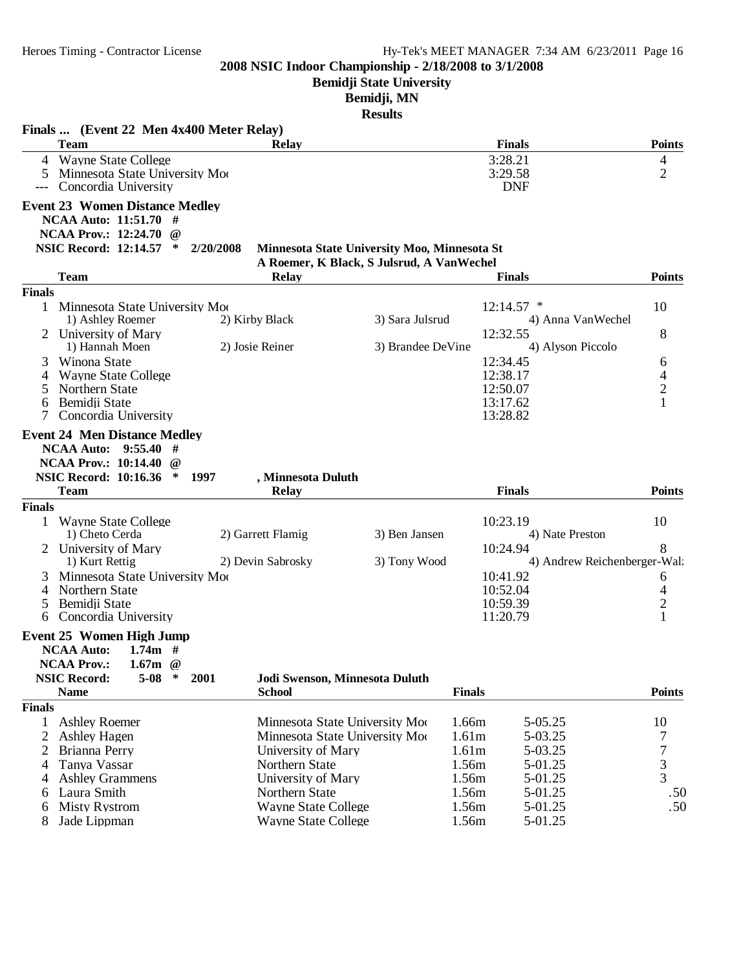**Bemidji State University**

# **Bemidji, MN**

|                | Finals  (Event 22 Men 4x400 Meter Relay)                                                                                                                      |                                                      |                                                                                           |                                          |                          |
|----------------|---------------------------------------------------------------------------------------------------------------------------------------------------------------|------------------------------------------------------|-------------------------------------------------------------------------------------------|------------------------------------------|--------------------------|
|                | <b>Team</b>                                                                                                                                                   | <b>Relay</b>                                         |                                                                                           | <b>Finals</b>                            | <b>Points</b>            |
|                | 4 Wayne State College                                                                                                                                         |                                                      |                                                                                           | 3:28.21                                  | 4                        |
| 5              | Minnesota State University Moo                                                                                                                                |                                                      |                                                                                           | 3:29.58                                  | $\overline{2}$           |
|                | Concordia University                                                                                                                                          |                                                      |                                                                                           | <b>DNF</b>                               |                          |
|                | <b>Event 23 Women Distance Medley</b><br>NCAA Auto: 11:51.70 #<br><b>NCAA Prov.: 12:24.70</b><br>$\omega$<br>NSIC Record: 12:14.57 *                          | 2/20/2008                                            | Minnesota State University Moo, Minnesota St<br>A Roemer, K Black, S Julsrud, A VanWechel |                                          |                          |
|                | <b>Team</b>                                                                                                                                                   | <b>Relay</b>                                         |                                                                                           | <b>Finals</b>                            | <b>Points</b>            |
| <b>Finals</b>  |                                                                                                                                                               |                                                      |                                                                                           |                                          |                          |
|                | 1 Minnesota State University Moo                                                                                                                              |                                                      |                                                                                           | $12:14.57$ *                             | 10                       |
|                | 1) Ashley Roemer                                                                                                                                              | 2) Kirby Black                                       | 3) Sara Julsrud                                                                           | 4) Anna VanWechel<br>12:32.55            | 8                        |
|                | 2 University of Mary<br>1) Hannah Moen                                                                                                                        | 2) Josie Reiner                                      | 3) Brandee DeVine                                                                         | 4) Alyson Piccolo                        |                          |
| 3              | Winona State                                                                                                                                                  |                                                      |                                                                                           | 12:34.45                                 | 6                        |
| 4              | <b>Wayne State College</b>                                                                                                                                    |                                                      |                                                                                           | 12:38.17                                 | $\overline{4}$           |
| $\mathfrak{S}$ | Northern State                                                                                                                                                |                                                      |                                                                                           | 12:50.07                                 | $\sqrt{2}$               |
| 6              | Bemidji State                                                                                                                                                 |                                                      |                                                                                           | 13:17.62                                 | $\mathbf{1}$             |
| 7              | Concordia University                                                                                                                                          |                                                      |                                                                                           | 13:28.82                                 |                          |
|                | <b>Event 24 Men Distance Medley</b><br><b>NCAA Auto:</b><br>9:55.40<br>#<br><b>NCAA Prov.: 10:14.40</b><br>$\omega$<br><b>NSIC Record: 10:16.36</b><br>$\ast$ | 1997<br>, Minnesota Duluth                           |                                                                                           |                                          |                          |
|                | <b>Team</b>                                                                                                                                                   | <b>Relay</b>                                         |                                                                                           | <b>Finals</b>                            | <b>Points</b>            |
| <b>Finals</b>  |                                                                                                                                                               |                                                      |                                                                                           |                                          |                          |
|                | <b>Wayne State College</b>                                                                                                                                    |                                                      |                                                                                           | 10:23.19                                 | 10                       |
|                | 1) Cheto Cerda                                                                                                                                                | 2) Garrett Flamig                                    | 3) Ben Jansen                                                                             | 4) Nate Preston                          |                          |
|                | 2 University of Mary<br>1) Kurt Rettig                                                                                                                        | 2) Devin Sabrosky                                    | 3) Tony Wood                                                                              | 10:24.94<br>4) Andrew Reichenberger-Wal: | 8                        |
| 3              | Minnesota State University Moo                                                                                                                                |                                                      |                                                                                           | 10:41.92                                 | 6                        |
| 4              | Northern State                                                                                                                                                |                                                      |                                                                                           | 10:52.04                                 | $\overline{\mathcal{A}}$ |
| 5              | Bemidii State                                                                                                                                                 |                                                      |                                                                                           | 10:59.39                                 | $\overline{c}$           |
| 6              | Concordia University                                                                                                                                          |                                                      |                                                                                           | 11:20.79                                 | $\mathbf{1}$             |
|                | <b>Event 25 Women High Jump</b><br><b>NCAA Auto:</b><br>1.74 $m \neq$<br><b>NCAA Prov.:</b><br>1.67 $m \quad @$<br><b>NSIC Record:</b><br>$5-08$<br>∗         | Jodi Swenson, Minnesota Duluth<br>2001               |                                                                                           |                                          |                          |
|                | <b>Name</b>                                                                                                                                                   | <b>School</b>                                        |                                                                                           | <b>Finals</b>                            | <b>Points</b>            |
| <b>Finals</b>  |                                                                                                                                                               |                                                      |                                                                                           |                                          |                          |
| 1              | <b>Ashley Roemer</b>                                                                                                                                          | Minnesota State University Moo                       |                                                                                           | 1.66m<br>5-05.25                         | 10                       |
| 2<br>2         | <b>Ashley Hagen</b><br>Brianna Perry                                                                                                                          | Minnesota State University Moo<br>University of Mary |                                                                                           | 1.61m<br>5-03.25<br>1.61m<br>5-03.25     | 7<br>$\boldsymbol{7}$    |
| 4              | Tanya Vassar                                                                                                                                                  | Northern State                                       |                                                                                           | 1.56m<br>5-01.25                         |                          |
| 4              | <b>Ashley Grammens</b>                                                                                                                                        | University of Mary                                   |                                                                                           | 1.56m<br>5-01.25                         | $\frac{3}{3}$            |
| 6              | Laura Smith                                                                                                                                                   | Northern State                                       |                                                                                           | 1.56m<br>5-01.25                         | .50                      |
| 6              | <b>Misty Rystrom</b>                                                                                                                                          | <b>Wayne State College</b>                           |                                                                                           | 1.56m<br>5-01.25                         | .50                      |
| 8              | Jade Lippman                                                                                                                                                  | <b>Wayne State College</b>                           |                                                                                           | 1.56m<br>5-01.25                         |                          |
|                |                                                                                                                                                               |                                                      |                                                                                           |                                          |                          |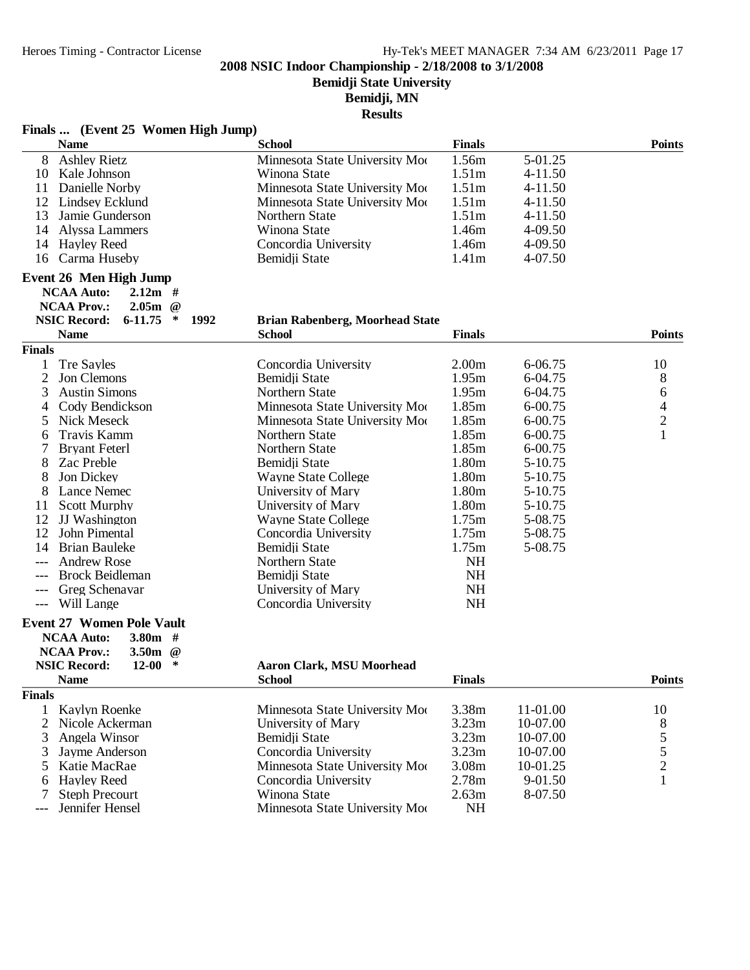**Bemidji State University**

**Bemidji, MN**

|  | Finals  (Event 25 Women High Jump) |  |  |  |
|--|------------------------------------|--|--|--|
|--|------------------------------------|--|--|--|

| <b>Name</b>                                                                             | <b>School</b>                          | <b>Finals</b>     |             | <b>Points</b>  |
|-----------------------------------------------------------------------------------------|----------------------------------------|-------------------|-------------|----------------|
| <b>Ashley Rietz</b><br>8                                                                | Minnesota State University Moo         | 1.56m             | 5-01.25     |                |
| Kale Johnson<br>10                                                                      | Winona State                           | 1.51 <sub>m</sub> | $4 - 11.50$ |                |
| Danielle Norby<br>11                                                                    | Minnesota State University Moo         | 1.51m             | 4-11.50     |                |
| Lindsey Ecklund<br>12                                                                   | Minnesota State University Moo         | 1.51 <sub>m</sub> | 4-11.50     |                |
| 13<br>Jamie Gunderson                                                                   | Northern State                         | 1.51 <sub>m</sub> | $4 - 11.50$ |                |
| Alyssa Lammers<br>14                                                                    | Winona State                           | 1.46m             | 4-09.50     |                |
| <b>Hayley Reed</b><br>14                                                                | Concordia University                   | 1.46m             | 4-09.50     |                |
| Carma Huseby<br>16                                                                      | Bemidji State                          | 1.41 <sub>m</sub> | 4-07.50     |                |
| Event 26 Men High Jump<br><b>NCAA Auto:</b><br>$2.12m$ #                                |                                        |                   |             |                |
| $2.05m$ @<br><b>NCAA Prov.:</b><br><b>NSIC Record:</b><br>$6 - 11.75$<br>$\ast$<br>1992 | <b>Brian Rabenberg, Moorhead State</b> |                   |             |                |
| <b>Name</b>                                                                             | <b>School</b>                          | <b>Finals</b>     |             | <b>Points</b>  |
| <b>Finals</b>                                                                           |                                        |                   |             |                |
| <b>Tre Sayles</b>                                                                       | Concordia University                   | 2.00 <sub>m</sub> | 6-06.75     | 10             |
| $\overline{2}$<br>Jon Clemons                                                           | Bemidji State                          | 1.95m             | 6-04.75     | 8              |
| 3<br><b>Austin Simons</b>                                                               | Northern State                         | 1.95m             | 6-04.75     | 6              |
| Cody Bendickson<br>4                                                                    | Minnesota State University Moo         | 1.85m             | 6-00.75     | 4              |
| 5<br>Nick Meseck                                                                        | Minnesota State University Moo         | 1.85m             | 6-00.75     | $\overline{c}$ |
| Travis Kamm<br>6                                                                        | Northern State                         | 1.85m             | 6-00.75     | $\mathbf{1}$   |
| 7<br><b>Bryant Feterl</b>                                                               | Northern State                         | 1.85m             | 6-00.75     |                |
| 8<br>Zac Preble                                                                         | Bemidji State                          | 1.80m             | 5-10.75     |                |
| 8<br>Jon Dickey                                                                         | <b>Wayne State College</b>             | 1.80m             | 5-10.75     |                |
| 8<br>Lance Nemec                                                                        | University of Mary                     | 1.80m             | 5-10.75     |                |
| Scott Murphy<br>11                                                                      | University of Mary                     | 1.80m             | 5-10.75     |                |
| 12<br>JJ Washington                                                                     | <b>Wayne State College</b>             | 1.75m             | 5-08.75     |                |
| 12<br>John Pimental                                                                     | Concordia University                   | 1.75m             | 5-08.75     |                |
| <b>Brian Bauleke</b><br>14                                                              | Bemidji State                          | 1.75m             | 5-08.75     |                |
| <b>Andrew Rose</b><br>$---$                                                             | Northern State                         | <b>NH</b>         |             |                |
| <b>Brock Beidleman</b><br>$---$                                                         | Bemidji State                          | <b>NH</b>         |             |                |
| Greg Schenavar<br>$---$                                                                 | University of Mary                     | <b>NH</b>         |             |                |
| Will Lange<br>$---$                                                                     | Concordia University                   | <b>NH</b>         |             |                |
| <b>Event 27 Women Pole Vault</b>                                                        |                                        |                   |             |                |
| <b>NCAA Auto:</b><br>$3.80m$ #                                                          |                                        |                   |             |                |
| <b>NCAA Prov.:</b><br>3.50m<br>$\omega$                                                 |                                        |                   |             |                |
| $\ast$<br><b>NSIC Record:</b><br>$12 - 00$                                              | <b>Aaron Clark, MSU Moorhead</b>       |                   |             |                |

|  |  | <b>Aaron Clark, MSU Moorhead</b> |  |
|--|--|----------------------------------|--|
|  |  |                                  |  |

| <b>Name</b>           | <b>School</b>                  | <b>Finals</b>     |            | <b>Points</b> |
|-----------------------|--------------------------------|-------------------|------------|---------------|
| <b>Finals</b>         |                                |                   |            |               |
| Kaylyn Roenke         | Minnesota State University Moo | 3.38m             | 11-01.00   | 10            |
| 2 Nicole Ackerman     | University of Mary             | 3.23 <sub>m</sub> | 10-07.00   | 8             |
| Angela Winsor         | Bemidji State                  | 3.23 <sub>m</sub> | $10-07.00$ |               |
| Jayme Anderson        | Concordia University           | 3.23 <sub>m</sub> | $10-07.00$ |               |
| 5 Katie MacRae        | Minnesota State University Moo | 3.08 <sub>m</sub> | 10-01.25   |               |
| 6 Hayley Reed         | Concordia University           | 2.78m             | $9-01.50$  |               |
| <b>Steph Precourt</b> | Winona State                   | 2.63m             | 8-07.50    |               |
| Jennifer Hensel       | Minnesota State University Moo | NH                |            |               |
|                       |                                |                   |            |               |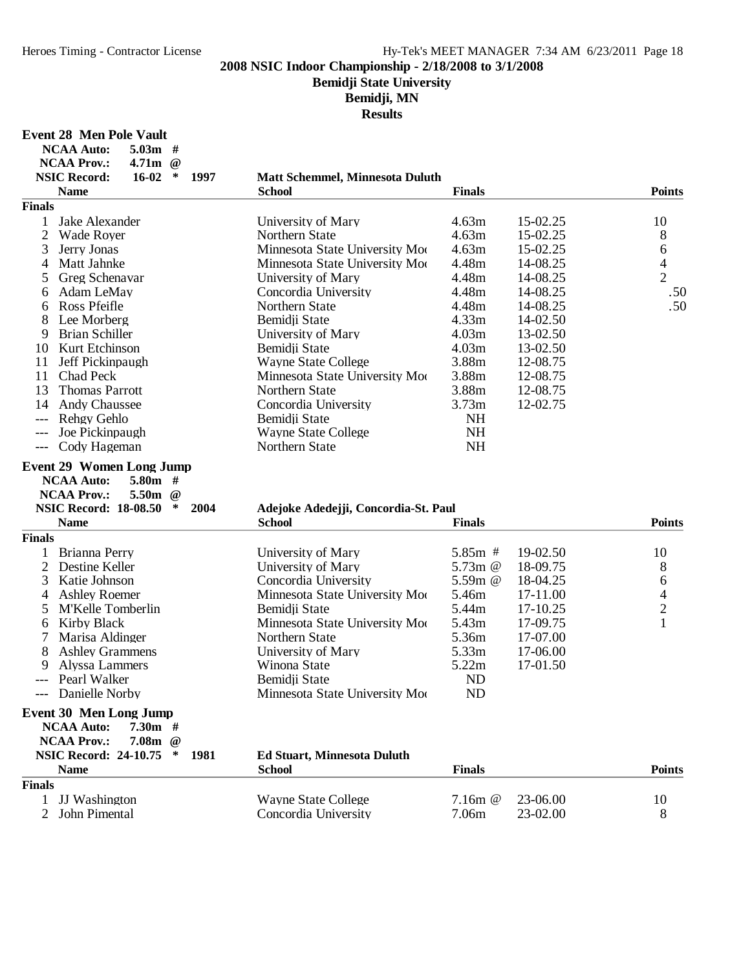# **Bemidji State University**

**Bemidji, MN**

| <b>NCAA Auto:</b><br>$5.03m$ #                                                                                                                       |                                                    |                       |                      |                          |
|------------------------------------------------------------------------------------------------------------------------------------------------------|----------------------------------------------------|-----------------------|----------------------|--------------------------|
| <b>NCAA Prov.:</b><br>4.71 <sub>m</sub><br>$\omega$<br>$\ast$<br><b>NSIC Record:</b><br>16-02<br>1997                                                | <b>Matt Schemmel, Minnesota Duluth</b>             |                       |                      |                          |
| <b>Name</b>                                                                                                                                          | <b>School</b>                                      | <b>Finals</b>         |                      | <b>Points</b>            |
| <b>Finals</b>                                                                                                                                        |                                                    |                       |                      |                          |
| Jake Alexander<br>1                                                                                                                                  | University of Mary                                 | 4.63m                 | 15-02.25             | 10                       |
| $\overline{2}$<br><b>Wade Royer</b>                                                                                                                  | Northern State                                     | 4.63m                 | 15-02.25             | 8                        |
| 3<br>Jerry Jonas                                                                                                                                     | Minnesota State University Moo                     | 4.63m                 | 15-02.25             | 6                        |
| Matt Jahnke<br>4                                                                                                                                     | Minnesota State University Moo                     | 4.48m                 | 14-08.25             | $\overline{\mathcal{A}}$ |
| Greg Schenavar<br>5                                                                                                                                  | University of Mary                                 | 4.48m                 | 14-08.25             | $\overline{2}$           |
| Adam LeMay<br>6                                                                                                                                      | Concordia University                               | 4.48m                 | 14-08.25             | .50                      |
| Ross Pfeifle<br>6                                                                                                                                    | Northern State                                     | 4.48m                 | 14-08.25             | .50                      |
| Lee Morberg<br>8                                                                                                                                     | Bemidji State                                      | 4.33m                 | 14-02.50             |                          |
| <b>Brian Schiller</b><br>9                                                                                                                           | University of Mary                                 | 4.03m                 | 13-02.50             |                          |
| Kurt Etchinson<br>10                                                                                                                                 | Bemidii State                                      | 4.03m                 | 13-02.50             |                          |
| 11<br>Jeff Pickinpaugh                                                                                                                               | <b>Wayne State College</b>                         | 3.88m                 | 12-08.75             |                          |
| 11<br>Chad Peck                                                                                                                                      | Minnesota State University Mo                      | 3.88m                 | 12-08.75             |                          |
| 13<br><b>Thomas Parrott</b>                                                                                                                          | Northern State                                     | 3.88m                 | 12-08.75             |                          |
| 14<br><b>Andy Chaussee</b>                                                                                                                           | Concordia University                               | 3.73m                 | 12-02.75             |                          |
| Rehgy Gehlo<br>$---$                                                                                                                                 | Bemidji State                                      | <b>NH</b>             |                      |                          |
| Joe Pickinpaugh<br>$---$                                                                                                                             | <b>Wayne State College</b>                         | <b>NH</b>             |                      |                          |
| Cody Hageman<br>$---$                                                                                                                                | Northern State                                     | <b>NH</b>             |                      |                          |
| <b>Event 29 Women Long Jump</b><br><b>NCAA Auto:</b><br>$5.80m$ #<br><b>NCAA Prov.:</b><br>5.50m<br>$\omega$<br><b>NSIC Record: 18-08.50</b><br>2004 | Adejoke Adedejji, Concordia-St. Paul               |                       |                      |                          |
| <b>Name</b>                                                                                                                                          | <b>School</b>                                      | <b>Finals</b>         |                      | <b>Points</b>            |
| <b>Finals</b>                                                                                                                                        |                                                    |                       |                      |                          |
| Brianna Perry                                                                                                                                        | University of Mary                                 | $5.85m$ #             | 19-02.50             | 10                       |
| $\overline{2}$<br>Destine Keller                                                                                                                     | University of Mary                                 | 5.73 $m$ @<br>5.59m @ | 18-09.75<br>18-04.25 | 8                        |
| 3<br>Katie Johnson                                                                                                                                   | Concordia University                               |                       |                      |                          |
| <b>Ashley Roemer</b><br>4                                                                                                                            |                                                    |                       |                      | 6                        |
|                                                                                                                                                      | Minnesota State University Moo                     | 5.46m                 | 17-11.00             | 4                        |
| M'Kelle Tomberlin<br>5                                                                                                                               | Bemidji State                                      | 5.44m                 | 17-10.25             | $\overline{c}$           |
| <b>Kirby Black</b><br>6                                                                                                                              | Minnesota State University Moo                     | 5.43m                 | 17-09.75             | $\mathbf{1}$             |
| 7<br>Marisa Aldinger                                                                                                                                 | Northern State                                     | 5.36m                 | 17-07.00             |                          |
| 8<br><b>Ashley Grammens</b>                                                                                                                          | University of Mary                                 | 5.33m                 | 17-06.00             |                          |
| Alyssa Lammers<br>9                                                                                                                                  | Winona State                                       | 5.22m                 | 17-01.50             |                          |
| Pearl Walker<br>$---$                                                                                                                                | Bemidji State                                      | <b>ND</b>             |                      |                          |
| Danielle Norby                                                                                                                                       | Minnesota State University Moo                     | ND                    |                      |                          |
| <b>Event 30 Men Long Jump</b><br>$7.30m$ #<br><b>NCAA Auto:</b><br><b>NCAA Prov.:</b><br>7.08m @                                                     |                                                    |                       |                      |                          |
| <b>NSIC Record: 24-10.75</b><br>∗<br>1981                                                                                                            | <b>Ed Stuart, Minnesota Duluth</b>                 |                       |                      |                          |
| <b>Name</b>                                                                                                                                          | <b>School</b>                                      | <b>Finals</b>         |                      | <b>Points</b>            |
| <b>Finals</b>                                                                                                                                        |                                                    |                       |                      |                          |
| <b>JJ</b> Washington<br>$\mathbf{1}$<br>$\overline{2}$<br>John Pimental                                                                              | <b>Wayne State College</b><br>Concordia University | 7.16m @<br>7.06m      | 23-06.00<br>23-02.00 | 10<br>8                  |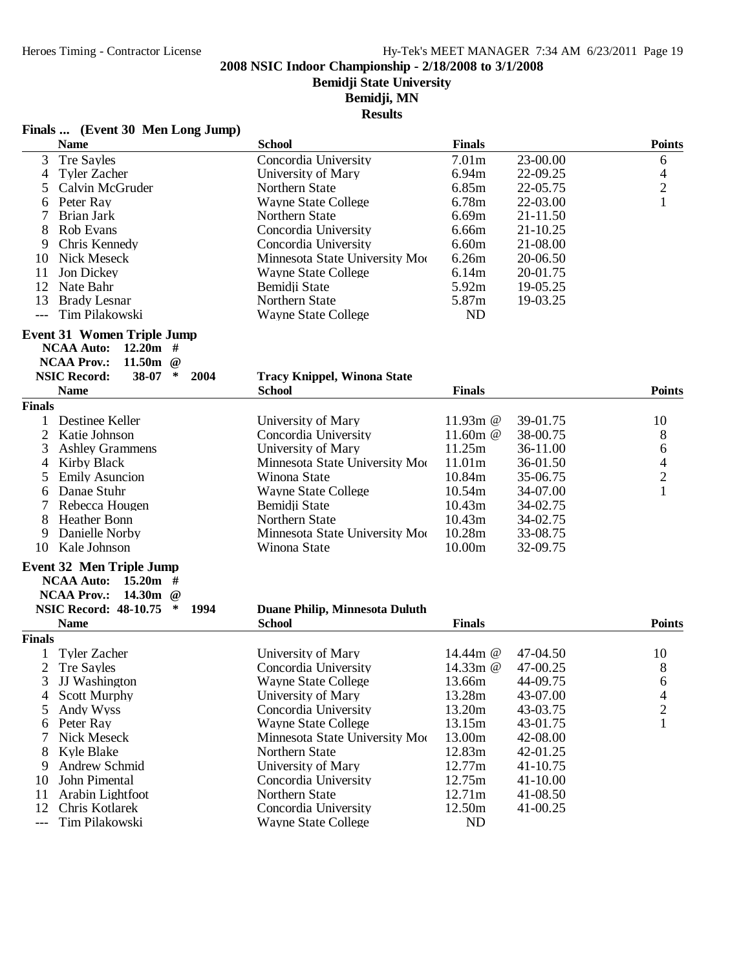**Bemidji State University**

# **Bemidji, MN**

|      | Finals  (Event 30 Men Long Jump) |               |
|------|----------------------------------|---------------|
| Nomo |                                  | <b>School</b> |

| <b>Name</b>                                                     | <b>School</b>                         | <b>Finals</b>     |          | <b>Points</b>           |
|-----------------------------------------------------------------|---------------------------------------|-------------------|----------|-------------------------|
| 3<br><b>Tre Sayles</b>                                          | Concordia University                  | 7.01 <sub>m</sub> | 23-00.00 | 6                       |
| <b>Tyler Zacher</b><br>4                                        | University of Mary                    | 6.94m             | 22-09.25 | 4                       |
| 5<br>Calvin McGruder                                            | Northern State                        | 6.85m             | 22-05.75 | $\frac{2}{1}$           |
| Peter Ray<br>6                                                  | <b>Wayne State College</b>            | 6.78m             | 22-03.00 |                         |
| <b>Brian Jark</b><br>7                                          | Northern State                        | 6.69m             | 21-11.50 |                         |
| 8<br>Rob Evans                                                  | Concordia University                  | 6.66m             | 21-10.25 |                         |
| 9<br>Chris Kennedy                                              | Concordia University                  | 6.60m             | 21-08.00 |                         |
| 10<br>Nick Meseck                                               | Minnesota State University Moo        | 6.26m             | 20-06.50 |                         |
| Jon Dickey<br>11                                                | <b>Wayne State College</b>            | 6.14m             | 20-01.75 |                         |
| 12<br>Nate Bahr                                                 | Bemidji State                         | 5.92m             | 19-05.25 |                         |
| 13<br><b>Brady Lesnar</b>                                       | Northern State                        | 5.87m             | 19-03.25 |                         |
| Tim Pilakowski<br>$---$                                         | <b>Wayne State College</b>            | ND                |          |                         |
| <b>Event 31 Women Triple Jump</b><br>$12.20m$ #                 |                                       |                   |          |                         |
| <b>NCAA Auto:</b><br><b>NCAA Prov.:</b><br>11.50m<br>$\omega$   |                                       |                   |          |                         |
| <b>NSIC Record:</b><br>$\ast$<br>38-07<br>2004                  | <b>Tracy Knippel, Winona State</b>    |                   |          |                         |
| <b>Name</b>                                                     | <b>School</b>                         | <b>Finals</b>     |          | <b>Points</b>           |
| <b>Finals</b>                                                   |                                       |                   |          |                         |
| Destinee Keller                                                 | University of Mary                    | 11.93m @          | 39-01.75 | 10                      |
| $\mathbf{2}$<br>Katie Johnson                                   | Concordia University                  | 11.60m @          | 38-00.75 | 8                       |
| 3<br><b>Ashley Grammens</b>                                     | University of Mary                    | 11.25m            | 36-11.00 | 6                       |
| <b>Kirby Black</b><br>4                                         | Minnesota State University Moo        | 11.01m            | 36-01.50 | $\overline{4}$          |
| <b>Emily Asuncion</b><br>5                                      | Winona State                          | 10.84m            | 35-06.75 | $\overline{c}$          |
| Danae Stuhr<br>6                                                | <b>Wayne State College</b>            | 10.54m            | 34-07.00 | $\mathbf{1}$            |
| 7<br>Rebecca Hougen                                             | Bemidji State                         | 10.43m            | 34-02.75 |                         |
| 8<br><b>Heather Bonn</b>                                        | Northern State                        | 10.43m            | 34-02.75 |                         |
| Danielle Norby<br>9                                             | Minnesota State University Moo        | 10.28m            | 33-08.75 |                         |
| Kale Johnson<br>10                                              | Winona State                          | 10.00m            | 32-09.75 |                         |
| <b>Event 32 Men Triple Jump</b>                                 |                                       |                   |          |                         |
| <b>NCAA Auto:</b><br>$15.20m$ #<br><b>NCAA Prov.:</b><br>14.30m |                                       |                   |          |                         |
| $\omega$<br><b>NSIC Record: 48-10.75</b><br>$\ast$<br>1994      | <b>Duane Philip, Minnesota Duluth</b> |                   |          |                         |
| <b>Name</b>                                                     | <b>School</b>                         | <b>Finals</b>     |          | <b>Points</b>           |
| <b>Finals</b>                                                   |                                       |                   |          |                         |
| <b>Tyler Zacher</b>                                             | University of Mary                    | 14.44m $@$        | 47-04.50 | 10                      |
| $\mathbf{2}$<br><b>Tre Sayles</b>                               | Concordia University                  | 14.33m @          | 47-00.25 | 8                       |
| 3<br><b>JJ</b> Washington                                       | <b>Wayne State College</b>            | 13.66m            | 44-09.75 | 6                       |
| <b>Scott Murphy</b><br>4                                        | University of Mary                    | 13.28m            | 43-07.00 | 4                       |
| 5<br>Andy Wyss                                                  | Concordia University                  | 13.20m            | 43-03.75 | $\overline{\mathbf{c}}$ |
| Peter Ray<br>6                                                  | <b>Wayne State College</b>            | 13.15m            | 43-01.75 | $\mathbf{1}$            |
| 7<br>Nick Meseck                                                | Minnesota State University Moo        | 13.00m            | 42-08.00 |                         |
| <b>Kyle Blake</b><br>8                                          | Northern State                        | 12.83m            | 42-01.25 |                         |
| Andrew Schmid<br>9                                              | University of Mary                    | 12.77m            | 41-10.75 |                         |
| John Pimental<br>10                                             | Concordia University                  | 12.75m            | 41-10.00 |                         |
| Arabin Lightfoot<br>11                                          | Northern State                        | 12.71m            | 41-08.50 |                         |
| 12<br>Chris Kotlarek                                            | Concordia University                  | 12.50m            | 41-00.25 |                         |
| Tim Pilakowski<br>$---$                                         | <b>Wayne State College</b>            | ND                |          |                         |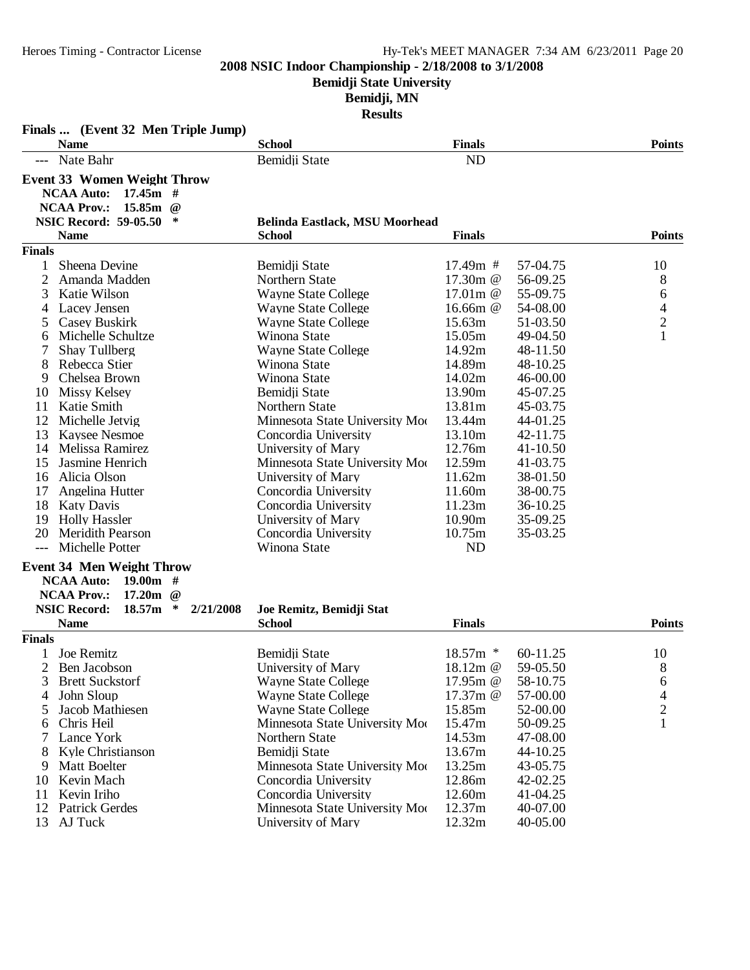**Bemidji State University**

**Bemidji, MN**

| Finals  (Event 32 Men Triple Jump)                                                                                                                                                                 |                                           |               |          |                          |
|----------------------------------------------------------------------------------------------------------------------------------------------------------------------------------------------------|-------------------------------------------|---------------|----------|--------------------------|
| <b>Name</b>                                                                                                                                                                                        | <b>School</b>                             | <b>Finals</b> |          | <b>Points</b>            |
| Nate Bahr<br>$---$                                                                                                                                                                                 | Bemidji State                             | <b>ND</b>     |          |                          |
| <b>Event 33 Women Weight Throw</b>                                                                                                                                                                 |                                           |               |          |                          |
| <b>NCAA Auto:</b><br>$17.45m$ #<br><b>NCAA Prov.:</b><br>15.85m<br>$\omega$                                                                                                                        |                                           |               |          |                          |
| <b>NSIC Record: 59-05.50</b>                                                                                                                                                                       | <b>Belinda Eastlack, MSU Moorhead</b>     |               |          |                          |
| <b>Name</b>                                                                                                                                                                                        | <b>School</b>                             | <b>Finals</b> |          | <b>Points</b>            |
| <b>Finals</b>                                                                                                                                                                                      |                                           |               |          |                          |
| Sheena Devine<br>1                                                                                                                                                                                 | Bemidji State                             | 17.49m #      | 57-04.75 | 10                       |
| 2<br>Amanda Madden                                                                                                                                                                                 | Northern State                            | 17.30m @      | 56-09.25 | 8                        |
| 3<br>Katie Wilson                                                                                                                                                                                  | <b>Wayne State College</b>                | 17.01 $m$ @   | 55-09.75 | 6                        |
| Lacey Jensen<br>4                                                                                                                                                                                  | <b>Wayne State College</b>                | 16.66m @      | 54-08.00 | $\overline{\mathcal{L}}$ |
| Casey Buskirk<br>5                                                                                                                                                                                 | <b>Wayne State College</b>                | 15.63m        | 51-03.50 | $\overline{c}$           |
| Michelle Schultze<br>6                                                                                                                                                                             | Winona State                              | 15.05m        | 49-04.50 | $\mathbf{1}$             |
| <b>Shay Tullberg</b>                                                                                                                                                                               | <b>Wayne State College</b>                | 14.92m        | 48-11.50 |                          |
| 8<br>Rebecca Stier                                                                                                                                                                                 | Winona State                              | 14.89m        | 48-10.25 |                          |
| 9<br>Chelsea Brown                                                                                                                                                                                 | Winona State                              | 14.02m        | 46-00.00 |                          |
| 10<br>Missy Kelsey                                                                                                                                                                                 | Bemidji State                             | 13.90m        | 45-07.25 |                          |
| 11<br>Katie Smith                                                                                                                                                                                  | Northern State                            | 13.81m        | 45-03.75 |                          |
| 12<br>Michelle Jetvig                                                                                                                                                                              | Minnesota State University Moo            | 13.44m        | 44-01.25 |                          |
| 13<br><b>Kaysee Nesmoe</b>                                                                                                                                                                         | Concordia University                      | 13.10m        | 42-11.75 |                          |
| 14<br>Melissa Ramirez                                                                                                                                                                              | University of Mary                        | 12.76m        | 41-10.50 |                          |
| 15<br>Jasmine Henrich                                                                                                                                                                              | Minnesota State University Moo            | 12.59m        | 41-03.75 |                          |
| Alicia Olson<br>16                                                                                                                                                                                 | University of Mary                        | 11.62m        | 38-01.50 |                          |
| 17<br>Angelina Hutter                                                                                                                                                                              | Concordia University                      | 11.60m        | 38-00.75 |                          |
| 18<br><b>Katy Davis</b>                                                                                                                                                                            | Concordia University                      | 11.23m        | 36-10.25 |                          |
| <b>Holly Hassler</b><br>19                                                                                                                                                                         | University of Mary                        | 10.90m        | 35-09.25 |                          |
| 20<br><b>Meridith Pearson</b>                                                                                                                                                                      | Concordia University                      | 10.75m        | 35-03.25 |                          |
| Michelle Potter                                                                                                                                                                                    | Winona State                              | ND            |          |                          |
| <b>Event 34 Men Weight Throw</b><br><b>NCAA Auto:</b><br>$19.00m$ #<br><b>NCAA Prov.:</b><br>17.20 <sub>m</sub><br>$\omega$<br><b>NSIC Record:</b><br>18.57m<br>$\ast$<br>2/21/2008<br><b>Name</b> | Joe Remitz, Bemidji Stat<br><b>School</b> | <b>Finals</b> |          | <b>Points</b>            |
| <b>Finals</b>                                                                                                                                                                                      |                                           |               |          |                          |
| Joe Remitz<br>$\mathbf{1}$                                                                                                                                                                         | Bemidji State                             | 18.57m *      | 60-11.25 | 10                       |
| 2 Ben Jacobson                                                                                                                                                                                     | University of Mary                        | 18.12m @      | 59-05.50 | 8                        |
| <b>Brett Suckstorf</b>                                                                                                                                                                             | <b>Wayne State College</b>                | 17.95 $m$ @   | 58-10.75 | 6                        |
| John Sloup<br>4                                                                                                                                                                                    | <b>Wayne State College</b>                | 17.37m @      | 57-00.00 | 4                        |
| Jacob Mathiesen<br>5                                                                                                                                                                               | <b>Wayne State College</b>                | 15.85m        | 52-00.00 | $\overline{2}$           |
| Chris Heil<br>6                                                                                                                                                                                    | Minnesota State University Moo            | 15.47m        | 50-09.25 | $\mathbf{1}$             |
| Lance York<br>7                                                                                                                                                                                    | Northern State                            | 14.53m        | 47-08.00 |                          |
| Kyle Christianson                                                                                                                                                                                  | Bemidii State                             | 13.67m        | 44-10.25 |                          |
| <b>Matt Boelter</b><br>9                                                                                                                                                                           | Minnesota State University Moo            | 13.25m        | 43-05.75 |                          |
| Kevin Mach<br>10                                                                                                                                                                                   | Concordia University                      | 12.86m        | 42-02.25 |                          |
| Kevin Iriho<br>11                                                                                                                                                                                  | Concordia University                      | 12.60m        | 41-04.25 |                          |
| 12<br><b>Patrick Gerdes</b>                                                                                                                                                                        | Minnesota State University Moo            | 12.37m        | 40-07.00 |                          |
| 13<br>AJ Tuck                                                                                                                                                                                      | University of Mary                        | 12.32m        | 40-05.00 |                          |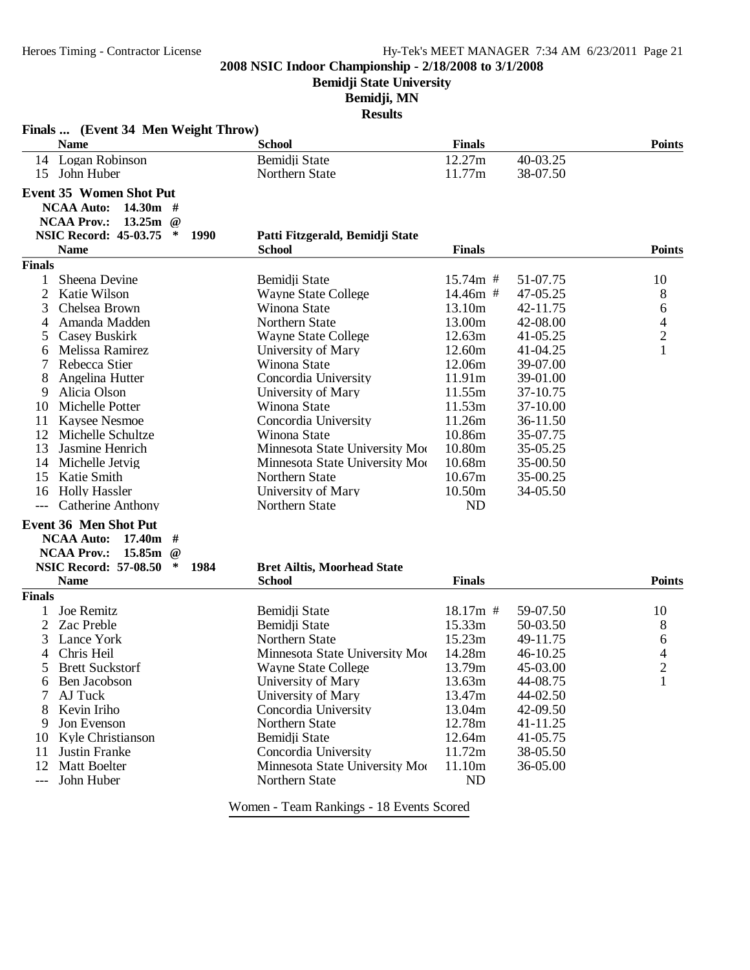**Bemidji State University**

# **Bemidji, MN**

**Results**

|                | Finals  (Event 34 Men Weight Throw)<br><b>Name</b>              | <b>School</b>                                                    | <b>Finals</b>    |                      | <b>Points</b>            |
|----------------|-----------------------------------------------------------------|------------------------------------------------------------------|------------------|----------------------|--------------------------|
|                | 14 Logan Robinson                                               | Bemidji State                                                    | 12.27m           | 40-03.25             |                          |
| 15             | John Huber                                                      | Northern State                                                   | 11.77m           | 38-07.50             |                          |
|                | <b>Event 35 Women Shot Put</b>                                  |                                                                  |                  |                      |                          |
|                | 14.30m #<br><b>NCAA Auto:</b>                                   |                                                                  |                  |                      |                          |
|                | <b>NCAA Prov.:</b><br>13.25m<br>$\omega$                        |                                                                  |                  |                      |                          |
|                | <b>NSIC Record: 45-03.75</b><br>∗<br><b>1990</b>                | Patti Fitzgerald, Bemidji State                                  |                  |                      |                          |
|                | <b>Name</b>                                                     | <b>School</b>                                                    | <b>Finals</b>    |                      | <b>Points</b>            |
| <b>Finals</b>  |                                                                 |                                                                  |                  |                      |                          |
|                | Sheena Devine                                                   | Bemidji State                                                    | $15.74m$ #       | 51-07.75             | 10                       |
| $\overline{2}$ | Katie Wilson                                                    | <b>Wayne State College</b>                                       | 14.46m #         | 47-05.25             | 8                        |
| 3              | Chelsea Brown                                                   | Winona State                                                     | 13.10m           | 42-11.75             | 6                        |
| 4              | Amanda Madden                                                   | Northern State                                                   | 13.00m           | 42-08.00             | $\overline{\mathcal{L}}$ |
| 5              | Casey Buskirk                                                   | <b>Wayne State College</b>                                       | 12.63m           | 41-05.25             | $\overline{c}$           |
| 6              | Melissa Ramirez                                                 | University of Mary                                               | 12.60m           | 41-04.25             | $\mathbf{1}$             |
| 7              | Rebecca Stier                                                   | Winona State                                                     | 12.06m           | 39-07.00             |                          |
| 8              | Angelina Hutter                                                 | Concordia University                                             | 11.91m           | 39-01.00             |                          |
| 9              | Alicia Olson                                                    | University of Mary                                               | 11.55m           | 37-10.75             |                          |
| 10             | Michelle Potter                                                 | Winona State                                                     | 11.53m           | 37-10.00             |                          |
| 11             | <b>Kaysee Nesmoe</b>                                            | Concordia University                                             | 11.26m           | 36-11.50             |                          |
| 12<br>13       | Michelle Schultze                                               | Winona State                                                     | 10.86m<br>10.80m | 35-07.75             |                          |
| 14             | Jasmine Henrich                                                 | Minnesota State University Moo<br>Minnesota State University Moo | 10.68m           | 35-05.25             |                          |
| 15             | Michelle Jetvig<br>Katie Smith                                  | Northern State                                                   | 10.67m           | 35-00.50<br>35-00.25 |                          |
| 16             | <b>Holly Hassler</b>                                            | University of Mary                                               | 10.50m           | 34-05.50             |                          |
| $---$          | <b>Catherine Anthony</b>                                        | Northern State                                                   | ND               |                      |                          |
|                |                                                                 |                                                                  |                  |                      |                          |
|                | Event 36 Men Shot Put                                           |                                                                  |                  |                      |                          |
|                | $17.40m$ #<br><b>NCAA Auto:</b><br><b>NCAA Prov.:</b><br>15.85m |                                                                  |                  |                      |                          |
|                | $\omega$<br><b>NSIC Record: 57-08.50</b><br>∗<br>1984           |                                                                  |                  |                      |                          |
|                | <b>Name</b>                                                     | <b>Bret Ailtis, Moorhead State</b><br><b>School</b>              | <b>Finals</b>    |                      | <b>Points</b>            |
| <b>Finals</b>  |                                                                 |                                                                  |                  |                      |                          |
|                | Joe Remitz                                                      | Bemidji State                                                    | 18.17m #         | 59-07.50             | 10                       |
| 2              | Zac Preble                                                      | Bemidji State                                                    | 15.33m           | 50-03.50             | 8                        |
| 3              | Lance York                                                      | Northern State                                                   | 15.23m           | 49-11.75             | 6                        |
| 4              | Chris Heil                                                      | Minnesota State University Moo                                   | 14.28m           | 46-10.25             | 4                        |
| 5              | <b>Brett Suckstorf</b>                                          | Wayne State College                                              | 13.79m           | 45-03.00             | $\overline{2}$           |
| 6              | Ben Jacobson                                                    | University of Mary                                               | 13.63m           | 44-08.75             | 1                        |
| 7              | AJ Tuck                                                         | University of Mary                                               | 13.47m           | 44-02.50             |                          |
| 8              | Kevin Iriho                                                     | Concordia University                                             | 13.04m           | 42-09.50             |                          |
| 9              | Jon Evenson                                                     | Northern State                                                   | 12.78m           | 41-11.25             |                          |
| 10             | Kyle Christianson                                               | Bemidji State                                                    | 12.64m           | 41-05.75             |                          |
| 11             | Justin Franke                                                   | Concordia University                                             | 11.72m           | 38-05.50             |                          |
| 12             | <b>Matt Boelter</b>                                             | Minnesota State University Moo                                   | 11.10m           | 36-05.00             |                          |
| ---            | John Huber                                                      | Northern State                                                   | N <sub>D</sub>   |                      |                          |
|                |                                                                 | Women Toom Depleiner 10 Events Coored                            |                  |                      |                          |

Women - Team Rankings - 18 Events Scored